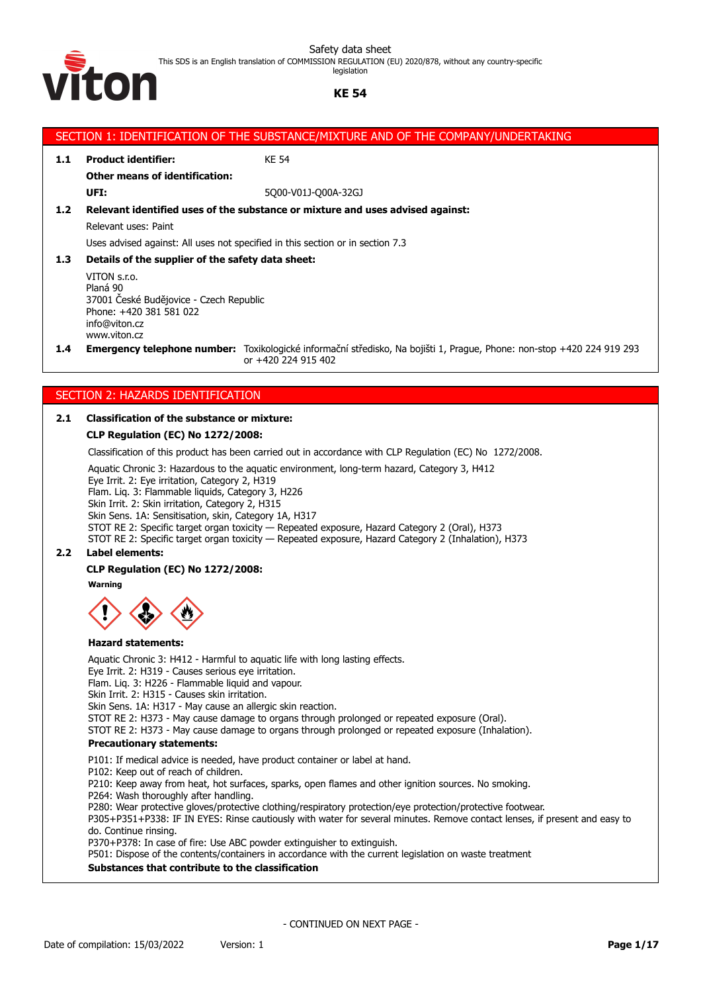This SDS is an English translation of COMMISSION REGULATION (EU) 2020/878, without any country-specific legislation



# **KE 54**

|                                            |                                                                                                                                                                                                                         | SECTION 1: IDENTIFICATION OF THE SUBSTANCE/MIXTURE AND OF THE COMPANY/UNDERTAKING                                                                                                                                                                                                                   |  |  |  |
|--------------------------------------------|-------------------------------------------------------------------------------------------------------------------------------------------------------------------------------------------------------------------------|-----------------------------------------------------------------------------------------------------------------------------------------------------------------------------------------------------------------------------------------------------------------------------------------------------|--|--|--|
| 1.1                                        | <b>Product identifier:</b>                                                                                                                                                                                              | <b>KE 54</b>                                                                                                                                                                                                                                                                                        |  |  |  |
|                                            | <b>Other means of identification:</b>                                                                                                                                                                                   |                                                                                                                                                                                                                                                                                                     |  |  |  |
|                                            | UFI:                                                                                                                                                                                                                    | 5Q00-V01J-Q00A-32GJ                                                                                                                                                                                                                                                                                 |  |  |  |
| 1.2 <sub>2</sub>                           |                                                                                                                                                                                                                         | Relevant identified uses of the substance or mixture and uses advised against:                                                                                                                                                                                                                      |  |  |  |
|                                            | Relevant uses: Paint                                                                                                                                                                                                    |                                                                                                                                                                                                                                                                                                     |  |  |  |
|                                            |                                                                                                                                                                                                                         | Uses advised against: All uses not specified in this section or in section 7.3                                                                                                                                                                                                                      |  |  |  |
| 1.3                                        | Details of the supplier of the safety data sheet:                                                                                                                                                                       |                                                                                                                                                                                                                                                                                                     |  |  |  |
|                                            | VITON s.r.o.<br>Planá 90<br>37001 České Budějovice - Czech Republic<br>Phone: +420 381 581 022<br>info@viton.cz<br>www.viton.cz                                                                                         |                                                                                                                                                                                                                                                                                                     |  |  |  |
| 1.4                                        |                                                                                                                                                                                                                         | Emergency telephone number: Toxikologické informační středisko, Na bojišti 1, Prague, Phone: non-stop +420 224 919 293<br>or +420 224 915 402                                                                                                                                                       |  |  |  |
|                                            |                                                                                                                                                                                                                         |                                                                                                                                                                                                                                                                                                     |  |  |  |
|                                            | SECTION 2: HAZARDS IDENTIFICATION                                                                                                                                                                                       |                                                                                                                                                                                                                                                                                                     |  |  |  |
| 2.1                                        | <b>Classification of the substance or mixture:</b>                                                                                                                                                                      |                                                                                                                                                                                                                                                                                                     |  |  |  |
|                                            | <b>CLP Regulation (EC) No 1272/2008:</b>                                                                                                                                                                                |                                                                                                                                                                                                                                                                                                     |  |  |  |
|                                            |                                                                                                                                                                                                                         | Classification of this product has been carried out in accordance with CLP Regulation (EC) No 1272/2008.                                                                                                                                                                                            |  |  |  |
|                                            | Eye Irrit. 2: Eye irritation, Category 2, H319<br>Flam. Liq. 3: Flammable liquids, Category 3, H226<br>Skin Irrit. 2: Skin irritation, Category 2, H315<br>Skin Sens. 1A: Sensitisation, skin, Category 1A, H317        | Aquatic Chronic 3: Hazardous to the aquatic environment, long-term hazard, Category 3, H412<br>STOT RE 2: Specific target organ toxicity - Repeated exposure, Hazard Category 2 (Oral), H373<br>STOT RE 2: Specific target organ toxicity - Repeated exposure, Hazard Category 2 (Inhalation), H373 |  |  |  |
| <b>Label elements:</b><br>2.2 <sub>2</sub> |                                                                                                                                                                                                                         |                                                                                                                                                                                                                                                                                                     |  |  |  |
|                                            | CLP Regulation (EC) No 1272/2008:                                                                                                                                                                                       |                                                                                                                                                                                                                                                                                                     |  |  |  |
|                                            | Warning                                                                                                                                                                                                                 |                                                                                                                                                                                                                                                                                                     |  |  |  |
|                                            | zaru statements:                                                                                                                                                                                                        |                                                                                                                                                                                                                                                                                                     |  |  |  |
|                                            | Eye Irrit. 2: H319 - Causes serious eye irritation.<br>Flam. Liq. 3: H226 - Flammable liquid and vapour.<br>Skin Irrit. 2: H315 - Causes skin irritation.<br>Skin Sens. 1A: H317 - May cause an allergic skin reaction. | Aquatic Chronic 3: H412 - Harmful to aquatic life with long lasting effects.<br>STOT RE 2: H373 - May cause damage to organs through prolonged or repeated exposure (Oral).<br>STOT RE 2: H373 - May cause damage to organs through prolonged or repeated exposure (Inhalation).                    |  |  |  |
|                                            | <b>Precautionary statements:</b>                                                                                                                                                                                        |                                                                                                                                                                                                                                                                                                     |  |  |  |
|                                            | P102: Keep out of reach of children.                                                                                                                                                                                    | P101: If medical advice is needed, have product container or label at hand.<br>P210: Keep away from heat, hot surfaces, sparks, open flames and other ignition sources. No smoking.                                                                                                                 |  |  |  |

P264: Wash thoroughly after handling.

P280: Wear protective gloves/protective clothing/respiratory protection/eye protection/protective footwear. P305+P351+P338: IF IN EYES: Rinse cautiously with water for several minutes. Remove contact lenses, if present and easy to do. Continue rinsing.

P370+P378: In case of fire: Use ABC powder extinguisher to extinguish.

P501: Dispose of the contents/containers in accordance with the current legislation on waste treatment

**Substances that contribute to the classification**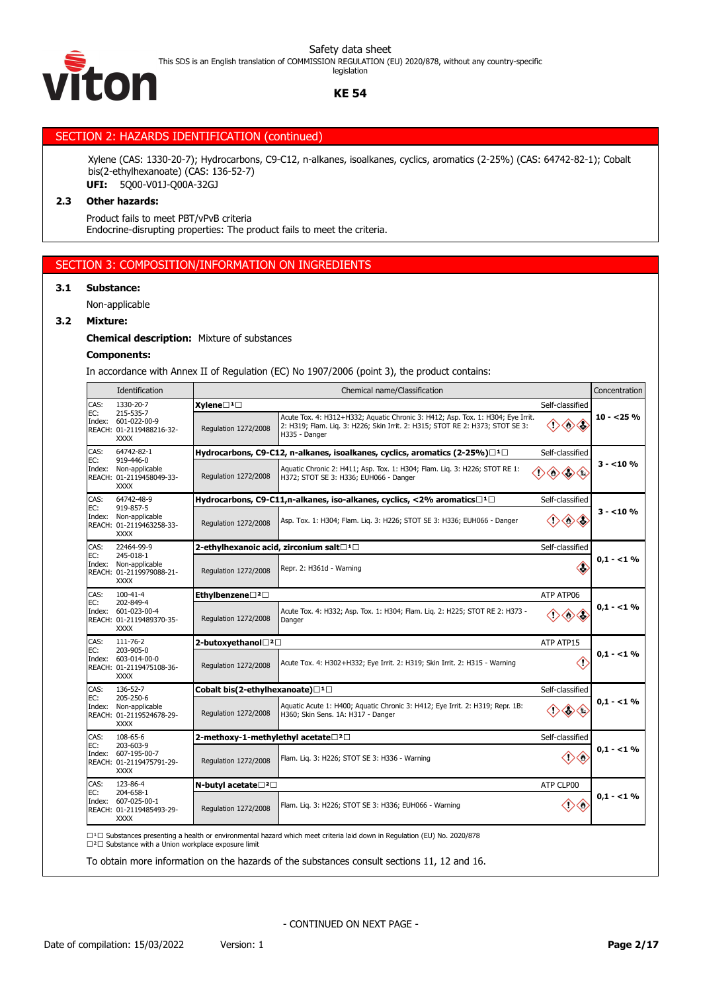This SDS is an English translation of COMMISSION REGULATION (EU) 2020/878, without any country-specific legislation



**KE 54**

# SECTION 2: HAZARDS IDENTIFICATION (continued)

Xylene (CAS: 1330-20-7); Hydrocarbons, C9-C12, n-alkanes, isoalkanes, cyclics, aromatics (2-25%) (CAS: 64742-82-1); Cobalt bis(2-ethylhexanoate) (CAS: 136-52-7) **UFI:** 5Q00-V01J-Q00A-32GJ

#### **2.3 Other hazards:**

Product fails to meet PBT/vPvB criteria Endocrine-disrupting properties: The product fails to meet the criteria.

# SECTION 3: COMPOSITION/INFORMATION ON INGREDIENTS

# **3.1 Substance:**

Non-applicable

#### **3.2 Mixture:**

**Chemical description:** Mixture of substances

## **Components:**

In accordance with Annex II of Regulation (EC) No 1907/2006 (point 3), the product contains:

|                                                                          | Identification                                                              |                                            | Chemical name/Classification                                                                                                                                                      |                                             | Concentration |
|--------------------------------------------------------------------------|-----------------------------------------------------------------------------|--------------------------------------------|-----------------------------------------------------------------------------------------------------------------------------------------------------------------------------------|---------------------------------------------|---------------|
| CAS:                                                                     | 1330-20-7<br>215-535-7                                                      | $X$ ylene $\square$ <sup>1</sup> $\square$ |                                                                                                                                                                                   | Self-classified                             |               |
| EC:<br>601-022-00-9<br>Index:<br>REACH: 01-2119488216-32-<br><b>XXXX</b> |                                                                             | Regulation 1272/2008                       | Acute Tox. 4: H312+H332; Aquatic Chronic 3: H412; Asp. Tox. 1: H304; Eye Irrit.<br>2: H319; Flam. Liq. 3: H226; Skin Irrit. 2: H315; STOT RE 2: H373; STOT SE 3:<br>H335 - Danger | ◇◇                                          | $10 - 25%$    |
| CAS:                                                                     | 64742-82-1                                                                  |                                            | Hydrocarbons, C9-C12, n-alkanes, isoalkanes, cyclics, aromatics (2-25%)□ <sup>1</sup> □                                                                                           | Self-classified                             |               |
| EC:<br>Index:                                                            | 919-446-0<br>Non-applicable<br>REACH: 01-2119458049-33-<br><b>XXXX</b>      | Regulation 1272/2008                       | Aquatic Chronic 2: H411; Asp. Tox. 1: H304; Flam. Lig. 3: H226; STOT RE 1:<br>H372; STOT SE 3: H336; EUH066 - Danger                                                              |                                             | $3 - 10%$     |
| CAS:                                                                     | 64742-48-9                                                                  |                                            | Hydrocarbons, C9-C11,n-alkanes, iso-alkanes, cyclics, <2% aromatics $\square^1\square$                                                                                            | Self-classified                             |               |
| EC:<br>Index:                                                            | 919-857-5<br>Non-applicable<br>REACH: 01-2119463258-33-<br><b>XXXX</b>      | Regulation 1272/2008                       | Asp. Tox. 1: H304; Flam. Lig. 3: H226; STOT SE 3: H336; EUH066 - Danger                                                                                                           | ◇◇                                          | 3 - <10 %     |
| CAS:                                                                     | 22464-99-9<br>245-018-1                                                     |                                            | 2-ethylhexanoic acid, zirconium salt□ <sup>1</sup> □                                                                                                                              | Self-classified                             |               |
| EC:<br>Index:                                                            | Non-applicable<br>REACH: 01-2119979088-21-<br><b>XXXX</b>                   | Regulation 1272/2008                       | Repr. 2: H361d - Warning                                                                                                                                                          | ≪                                           | $0.1 - 1.96$  |
| CAS:                                                                     | $100 - 41 - 4$<br>202-849-4                                                 | Ethylbenzene□2□                            |                                                                                                                                                                                   | ATP ATP06                                   |               |
| EC:<br>Index:                                                            | 601-023-00-4<br>REACH: 01-2119489370-35-<br><b>XXXX</b>                     | Regulation 1272/2008                       | Acute Tox. 4: H332; Asp. Tox. 1: H304; Flam. Lig. 2: H225; STOT RE 2: H373 -<br>Danger                                                                                            | ◇◇                                          | $0.1 - 1\%$   |
| CAS:                                                                     | 111-76-2                                                                    | 2-butoxyethanol□ <sup>2</sup> □            |                                                                                                                                                                                   | ATP ATP15                                   |               |
| EC:                                                                      | 203-905-0<br>Index: 603-014-00-0<br>REACH: 01-2119475108-36-<br><b>XXXX</b> | Regulation 1272/2008                       | Acute Tox. 4: H302+H332; Eye Irrit. 2: H319; Skin Irrit. 2: H315 - Warning                                                                                                        | K)                                          | $0.1 - 1\%$   |
| CAS:                                                                     | 136-52-7<br>205-250-6                                                       | Cobalt bis(2-ethylhexanoate)□1□            |                                                                                                                                                                                   | Self-classified                             |               |
| EC:<br>Index:                                                            | Non-applicable<br>REACH: 01-2119524678-29-<br><b>XXXX</b>                   | Regulation 1272/2008                       | Aquatic Acute 1: H400; Aquatic Chronic 3: H412; Eye Irrit. 2: H319; Repr. 1B:<br>H360; Skin Sens. 1A: H317 - Danger                                                               | ◇<br>$\left\langle \mathbb{B}\right\rangle$ | $0.1 - 1\%$   |
| CAS:                                                                     | 108-65-6                                                                    | 2-methoxy-1-methylethyl acetate□2□         |                                                                                                                                                                                   | Self-classified                             |               |
| EC:<br>Index:                                                            | 203-603-9<br>607-195-00-7<br>REACH: 01-2119475791-29-<br><b>XXXX</b>        | Regulation 1272/2008                       | Flam. Lig. 3: H226; STOT SE 3: H336 - Warning                                                                                                                                     | 〈!〉                                         | $0.1 - 1\%$   |
| CAS:                                                                     | 123-86-4                                                                    | N-butyl acetate□2□                         |                                                                                                                                                                                   | ATP CLP00                                   |               |
| EC:<br>Index:                                                            | 204-658-1<br>607-025-00-1<br>REACH: 01-2119485493-29-<br><b>XXXX</b>        | Regulation 1272/2008                       | Flam. Liq. 3: H226; STOT SE 3: H336; EUH066 - Warning                                                                                                                             | <0<br>O)                                    | $0.1 - 1\%$   |

□<sup>2</sup>□ Substance with a Union workplace exposure limit

To obtain more information on the hazards of the substances consult sections 11, 12 and 16.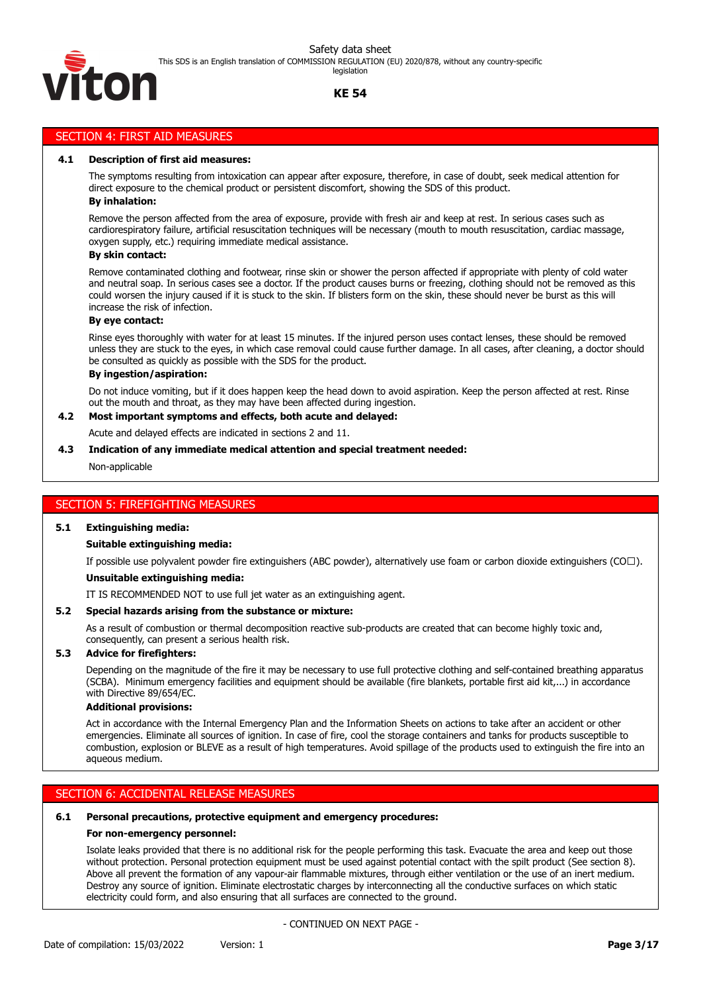

#### legislation

# **KE 54**

# SECTION 4: FIRST AID MEASURES

#### **4.1 Description of first aid measures:**

The symptoms resulting from intoxication can appear after exposure, therefore, in case of doubt, seek medical attention for direct exposure to the chemical product or persistent discomfort, showing the SDS of this product.

#### **By inhalation:**

Remove the person affected from the area of exposure, provide with fresh air and keep at rest. In serious cases such as cardiorespiratory failure, artificial resuscitation techniques will be necessary (mouth to mouth resuscitation, cardiac massage, oxygen supply, etc.) requiring immediate medical assistance.

#### **By skin contact:**

Remove contaminated clothing and footwear, rinse skin or shower the person affected if appropriate with plenty of cold water and neutral soap. In serious cases see a doctor. If the product causes burns or freezing, clothing should not be removed as this could worsen the injury caused if it is stuck to the skin. If blisters form on the skin, these should never be burst as this will increase the risk of infection.

#### **By eye contact:**

Rinse eyes thoroughly with water for at least 15 minutes. If the injured person uses contact lenses, these should be removed unless they are stuck to the eyes, in which case removal could cause further damage. In all cases, after cleaning, a doctor should be consulted as quickly as possible with the SDS for the product.

#### **By ingestion/aspiration:**

Do not induce vomiting, but if it does happen keep the head down to avoid aspiration. Keep the person affected at rest. Rinse out the mouth and throat, as they may have been affected during ingestion.

#### **4.2 Most important symptoms and effects, both acute and delayed:**

Acute and delayed effects are indicated in sections 2 and 11.

#### **4.3 Indication of any immediate medical attention and special treatment needed:**

Non-applicable

#### SECTION 5: FIREFIGHTING MEASURES

#### **5.1 Extinguishing media:**

#### **Suitable extinguishing media:**

If possible use polyvalent powder fire extinguishers (ABC powder), alternatively use foam or carbon dioxide extinguishers (CO⁽).

#### **Unsuitable extinguishing media:**

IT IS RECOMMENDED NOT to use full jet water as an extinguishing agent.

## **5.2 Special hazards arising from the substance or mixture:**

As a result of combustion or thermal decomposition reactive sub-products are created that can become highly toxic and, consequently, can present a serious health risk.

#### **5.3 Advice for firefighters:**

Depending on the magnitude of the fire it may be necessary to use full protective clothing and self-contained breathing apparatus (SCBA). Minimum emergency facilities and equipment should be available (fire blankets, portable first aid kit,...) in accordance with Directive 89/654/EC.

#### **Additional provisions:**

Act in accordance with the Internal Emergency Plan and the Information Sheets on actions to take after an accident or other emergencies. Eliminate all sources of ignition. In case of fire, cool the storage containers and tanks for products susceptible to combustion, explosion or BLEVE as a result of high temperatures. Avoid spillage of the products used to extinguish the fire into an aqueous medium.

#### SECTION 6: ACCIDENTAL RELEASE MEASURES

#### **6.1 Personal precautions, protective equipment and emergency procedures:**

#### **For non-emergency personnel:**

Isolate leaks provided that there is no additional risk for the people performing this task. Evacuate the area and keep out those without protection. Personal protection equipment must be used against potential contact with the spilt product (See section 8). Above all prevent the formation of any vapour-air flammable mixtures, through either ventilation or the use of an inert medium. Destroy any source of ignition. Eliminate electrostatic charges by interconnecting all the conductive surfaces on which static electricity could form, and also ensuring that all surfaces are connected to the ground.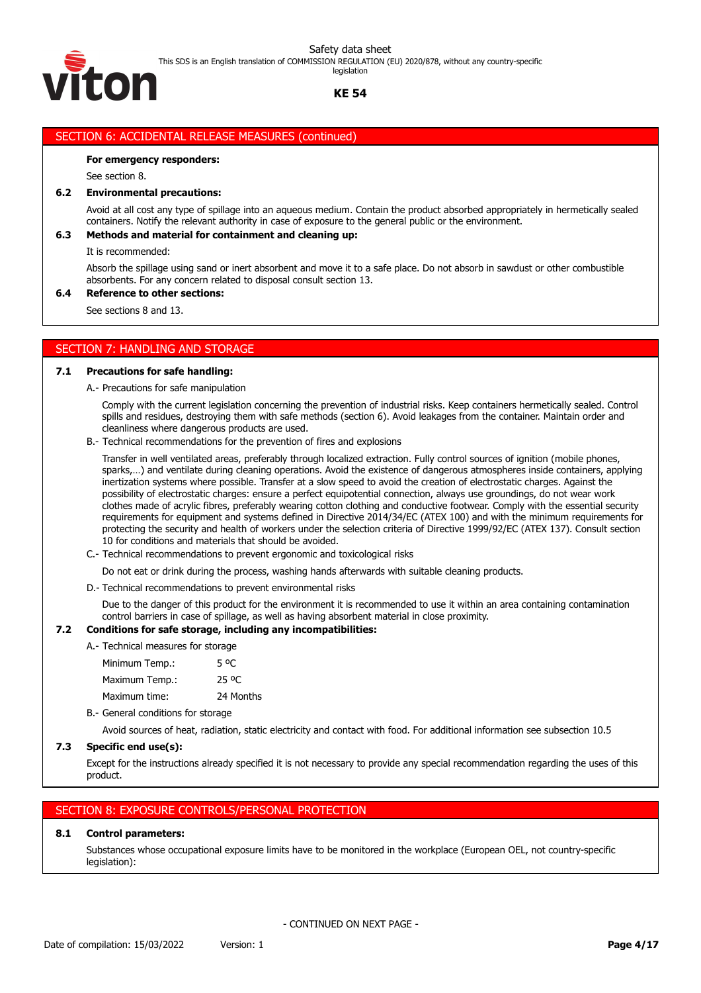This SDS is an English translation of COMMISSION REGULATION (EU) 2020/878, without any country-specific legislation

TO F

# **KE 54**

# SECTION 6: ACCIDENTAL RELEASE MEASURES (continued)

#### **For emergency responders:**

See section 8.

#### **6.2 Environmental precautions:**

Avoid at all cost any type of spillage into an aqueous medium. Contain the product absorbed appropriately in hermetically sealed containers. Notify the relevant authority in case of exposure to the general public or the environment.

#### **6.3 Methods and material for containment and cleaning up:**

It is recommended:

Absorb the spillage using sand or inert absorbent and move it to a safe place. Do not absorb in sawdust or other combustible absorbents. For any concern related to disposal consult section 13.

#### **6.4 Reference to other sections:**

See sections 8 and 13.

# SECTION 7: HANDLING AND STORAGE

#### **7.1 Precautions for safe handling:**

A.- Precautions for safe manipulation

Comply with the current legislation concerning the prevention of industrial risks. Keep containers hermetically sealed. Control spills and residues, destroying them with safe methods (section 6). Avoid leakages from the container. Maintain order and cleanliness where dangerous products are used.

B.- Technical recommendations for the prevention of fires and explosions

Transfer in well ventilated areas, preferably through localized extraction. Fully control sources of ignition (mobile phones, sparks,…) and ventilate during cleaning operations. Avoid the existence of dangerous atmospheres inside containers, applying inertization systems where possible. Transfer at a slow speed to avoid the creation of electrostatic charges. Against the possibility of electrostatic charges: ensure a perfect equipotential connection, always use groundings, do not wear work clothes made of acrylic fibres, preferably wearing cotton clothing and conductive footwear. Comply with the essential security requirements for equipment and systems defined in Directive 2014/34/EC (ATEX 100) and with the minimum requirements for protecting the security and health of workers under the selection criteria of Directive 1999/92/EC (ATEX 137). Consult section 10 for conditions and materials that should be avoided.

C.- Technical recommendations to prevent ergonomic and toxicological risks

Do not eat or drink during the process, washing hands afterwards with suitable cleaning products.

D.- Technical recommendations to prevent environmental risks

Due to the danger of this product for the environment it is recommended to use it within an area containing contamination control barriers in case of spillage, as well as having absorbent material in close proximity.

## **7.2 Conditions for safe storage, including any incompatibilities:**

A.- Technical measures for storage

Minimum Temp.: 5 °C Maximum Temp.: 25 °C Maximum time: 24 Months

B.- General conditions for storage

Avoid sources of heat, radiation, static electricity and contact with food. For additional information see subsection 10.5

#### **7.3 Specific end use(s):**

Except for the instructions already specified it is not necessary to provide any special recommendation regarding the uses of this product.

# SECTION 8: EXPOSURE CONTROLS/PERSONAL PROTECTION

# **8.1 Control parameters:**

Substances whose occupational exposure limits have to be monitored in the workplace (European OEL, not country-specific legislation):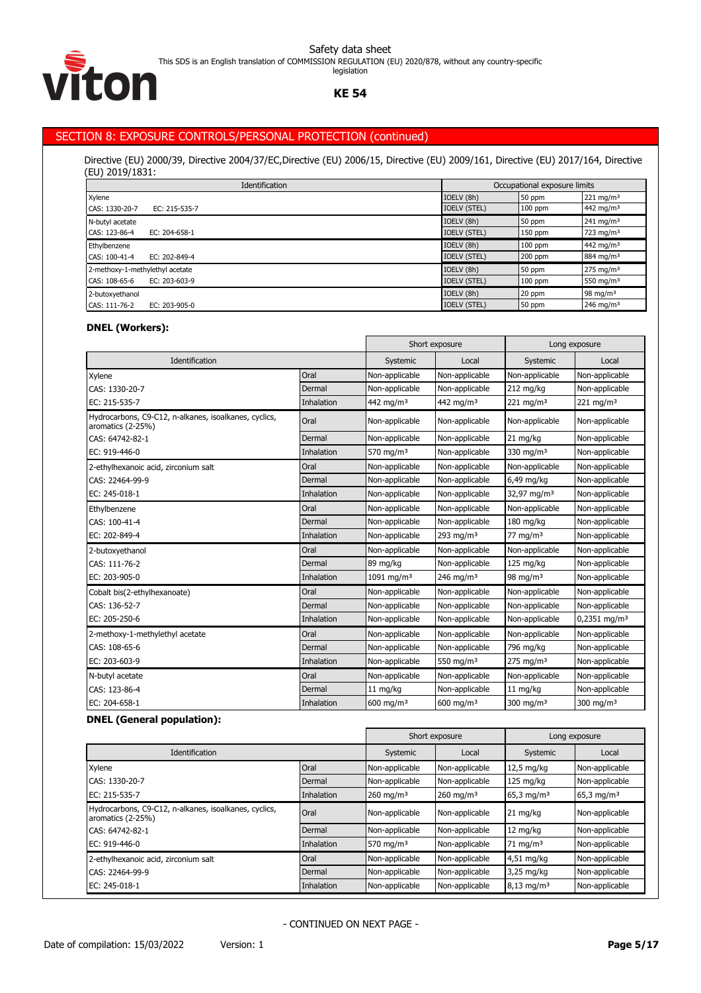

# **KE 54**

# SECTION 8: EXPOSURE CONTROLS/PERSONAL PROTECTION (continued)

Directive (EU) 2000/39, Directive 2004/37/EC,Directive (EU) 2006/15, Directive (EU) 2009/161, Directive (EU) 2017/164, Directive (EU) 2019/1831:

| Identification                       |                     | Occupational exposure limits |                         |
|--------------------------------------|---------------------|------------------------------|-------------------------|
| Xylene                               | IOELV (8h)          | 50 ppm                       | $221 \,\mathrm{mg/m^3}$ |
| CAS: 1330-20-7<br>EC: 215-535-7      | <b>IOELV (STEL)</b> | $100$ ppm                    | 442 mg/m <sup>3</sup>   |
| N-butyl acetate                      | IOELV (8h)          | 50 ppm                       | $241 \text{ mg/m}^3$    |
| CAS: 123-86-4<br>EC: 204-658-1       | <b>IOELV (STEL)</b> | 150 ppm                      | 723 mg/m <sup>3</sup>   |
| Ethylbenzene                         | IOELV (8h)          | $100$ ppm                    | 442 mg/m <sup>3</sup>   |
| EC: 202-849-4<br>CAS: 100-41-4       | <b>IOELV (STEL)</b> | $200$ ppm                    | 884 mg/m <sup>3</sup>   |
| 2-methoxy-1-methylethyl acetate      | IOELV (8h)          | 50 ppm                       | $275 \text{ mg/m}^3$    |
| CAS: 108-65-6<br>EC: $203 - 603 - 9$ | <b>IOELV (STEL)</b> | $100$ ppm                    | 550 mg/m $3$            |
| 2-butoxyethanol                      | IOELV (8h)          | 20 ppm                       | 98 mg/m $3$             |
| CAS: 111-76-2<br>EC: 203-905-0       | <b>IOELV (STEL)</b> | 50 ppm                       | 246 mg/m <sup>3</sup>   |

# **DNEL (Workers):**

|                                                                            |            |                         | Short exposure        | Long exposure           |                            |
|----------------------------------------------------------------------------|------------|-------------------------|-----------------------|-------------------------|----------------------------|
| Identification                                                             |            | Systemic                | Local                 | Systemic                | Local                      |
| Xylene                                                                     | Oral       | Non-applicable          | Non-applicable        | Non-applicable          | Non-applicable             |
| CAS: 1330-20-7                                                             | Dermal     | Non-applicable          | Non-applicable        | 212 mg/kg               | Non-applicable             |
| EC: 215-535-7                                                              | Inhalation | 442 mg/m <sup>3</sup>   | 442 mg/m <sup>3</sup> | 221 mg/m $3$            | $221$ mg/m <sup>3</sup>    |
| Hydrocarbons, C9-C12, n-alkanes, isoalkanes, cyclics,<br>aromatics (2-25%) | Oral       | Non-applicable          | Non-applicable        | Non-applicable          | Non-applicable             |
| CAS: 64742-82-1                                                            | Dermal     | Non-applicable          | Non-applicable        | 21 mg/kg                | Non-applicable             |
| EC: 919-446-0                                                              | Inhalation | 570 mg/m $3$            | Non-applicable        | 330 mg/m $3$            | Non-applicable             |
| 2-ethylhexanoic acid, zirconium salt                                       | Oral       | Non-applicable          | Non-applicable        | Non-applicable          | Non-applicable             |
| CAS: 22464-99-9                                                            | Dermal     | Non-applicable          | Non-applicable        | 6,49 mg/kg              | Non-applicable             |
| EC: 245-018-1                                                              | Inhalation | Non-applicable          | Non-applicable        | 32,97 mg/m <sup>3</sup> | Non-applicable             |
| Ethylbenzene                                                               | Oral       | Non-applicable          | Non-applicable        | Non-applicable          | Non-applicable             |
| CAS: 100-41-4                                                              | Dermal     | Non-applicable          | Non-applicable        | 180 mg/kg               | Non-applicable             |
| EC: 202-849-4                                                              | Inhalation | Non-applicable          | 293 mg/m $3$          | 77 mg/m <sup>3</sup>    | Non-applicable             |
| 2-butoxyethanol                                                            | Oral       | Non-applicable          | Non-applicable        | Non-applicable          | Non-applicable             |
| CAS: 111-76-2                                                              | Dermal     | 89 mg/kg                | Non-applicable        | $125$ mg/kg             | Non-applicable             |
| EC: 203-905-0                                                              | Inhalation | 1091 mg/m <sup>3</sup>  | 246 mg/m <sup>3</sup> | 98 mg/m $3$             | Non-applicable             |
| Cobalt bis(2-ethylhexanoate)                                               | Oral       | Non-applicable          | Non-applicable        | Non-applicable          | Non-applicable             |
| CAS: 136-52-7                                                              | Dermal     | Non-applicable          | Non-applicable        | Non-applicable          | Non-applicable             |
| EC: 205-250-6                                                              | Inhalation | Non-applicable          | Non-applicable        | Non-applicable          | $0,2351$ mg/m <sup>3</sup> |
| 2-methoxy-1-methylethyl acetate                                            | Oral       | Non-applicable          | Non-applicable        | Non-applicable          | Non-applicable             |
| CAS: 108-65-6                                                              | Dermal     | Non-applicable          | Non-applicable        | 796 mg/kg               | Non-applicable             |
| EC: 203-603-9                                                              | Inhalation | Non-applicable          | 550 mg/m $3$          | $275$ mg/m <sup>3</sup> | Non-applicable             |
| N-butyl acetate                                                            | Oral       | Non-applicable          | Non-applicable        | Non-applicable          | Non-applicable             |
| CAS: 123-86-4                                                              | Dermal     | 11 mg/kg                | Non-applicable        | 11 mg/kg                | Non-applicable             |
| EC: 204-658-1                                                              | Inhalation | $600$ mg/m <sup>3</sup> | $600 \text{ ma/m}^3$  | 300 mg/m $3$            | $300 \text{ ma/m}^3$       |

## **DNEL (General population):**

|                                                                            |            |                         | Short exposure          |                          | Long exposure            |
|----------------------------------------------------------------------------|------------|-------------------------|-------------------------|--------------------------|--------------------------|
| <b>Identification</b>                                                      |            | Systemic                | Local                   | Systemic                 | Local                    |
| Xylene                                                                     | Oral       | Non-applicable          | Non-applicable          | $12,5 \text{ mg/kg}$     | Non-applicable           |
| CAS: 1330-20-7                                                             | Dermal     | Non-applicable          | Non-applicable          | $125 \text{ mg/kg}$      | Non-applicable           |
| EC: 215-535-7                                                              | Inhalation | $260$ mg/m <sup>3</sup> | $260$ mg/m <sup>3</sup> | 65,3 mg/m <sup>3</sup>   | $65,3$ mg/m <sup>3</sup> |
| Hydrocarbons, C9-C12, n-alkanes, isoalkanes, cyclics,<br>aromatics (2-25%) | Oral       | Non-applicable          | Non-applicable          | $21 \text{ mg/kg}$       | Non-applicable           |
| CAS: 64742-82-1                                                            | Dermal     | Non-applicable          | Non-applicable          | 12 mg/kg                 | Non-applicable           |
| EC: 919-446-0                                                              | Inhalation | 570 mg/m <sup>3</sup>   | Non-applicable          | $71 \text{ mg/m}^3$      | Non-applicable           |
| 2-ethylhexanoic acid, zirconium salt                                       | Oral       | Non-applicable          | Non-applicable          | 4,51 mg/kg               | Non-applicable           |
| CAS: 22464-99-9                                                            | Dermal     | Non-applicable          | Non-applicable          | $3,25$ mg/kg             | Non-applicable           |
| EC: 245-018-1                                                              | Inhalation | Non-applicable          | Non-applicable          | $8,13$ mg/m <sup>3</sup> | Non-applicable           |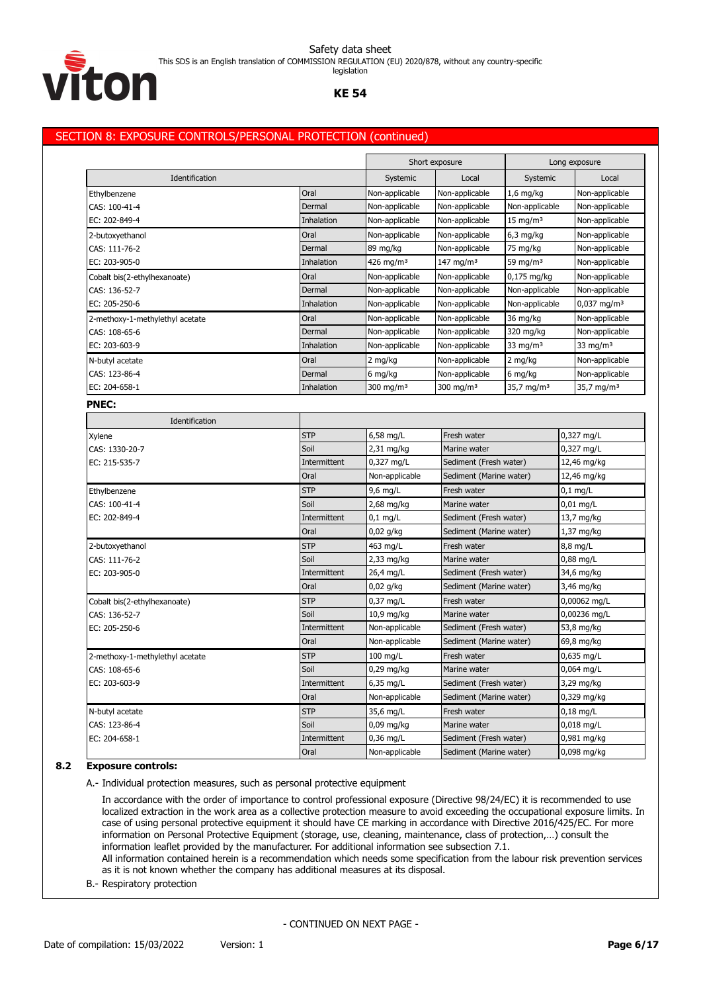

legislation

### **KE 54**

# SECTION 8: EXPOSURE CONTROLS/PERSONAL PROTECTION (continued)

|                                 |              |                       | Short exposure          |                                       | Long exposure             |
|---------------------------------|--------------|-----------------------|-------------------------|---------------------------------------|---------------------------|
| Identification                  |              | Systemic              | Local                   | Systemic                              | Local                     |
| Ethylbenzene                    | Oral         | Non-applicable        | Non-applicable          | $1,6$ mg/kg                           | Non-applicable            |
| CAS: 100-41-4                   | Dermal       | Non-applicable        | Non-applicable          | Non-applicable                        | Non-applicable            |
| EC: 202-849-4                   | Inhalation   | Non-applicable        | Non-applicable          | $15 \text{ mg/m}^3$                   | Non-applicable            |
| 2-butoxyethanol                 | Oral         | Non-applicable        | Non-applicable          | $6,3$ mg/kg                           | Non-applicable            |
| CAS: 111-76-2                   | Dermal       | 89 mg/kg              | Non-applicable          | 75 mg/kg                              | Non-applicable            |
| EC: 203-905-0                   | Inhalation   | 426 mg/m <sup>3</sup> | 147 mg/m $3$            | 59 mg/m $3$                           | Non-applicable            |
| Cobalt bis(2-ethylhexanoate)    | Oral         | Non-applicable        | Non-applicable          | $0,175$ mg/kg                         | Non-applicable            |
| CAS: 136-52-7                   | Dermal       | Non-applicable        | Non-applicable          | Non-applicable                        | Non-applicable            |
| EC: 205-250-6                   | Inhalation   | Non-applicable        | Non-applicable          | Non-applicable                        | $0,037$ mg/m <sup>3</sup> |
| 2-methoxy-1-methylethyl acetate | Oral         | Non-applicable        | Non-applicable          | 36 mg/kg                              | Non-applicable            |
| CAS: 108-65-6                   | Dermal       | Non-applicable        | Non-applicable          | 320 mg/kg                             | Non-applicable            |
| EC: 203-603-9                   | Inhalation   | Non-applicable        | Non-applicable          | 33 mg/m $3$                           | 33 mg/m $3$               |
| N-butyl acetate                 | Oral         | 2 mg/kg               | Non-applicable          | 2 mg/kg                               | Non-applicable            |
| CAS: 123-86-4                   | Dermal       | 6 mg/kg               | Non-applicable          | 6 mg/kg                               | Non-applicable            |
| EC: 204-658-1                   | Inhalation   | 300 mg/m $3$          | 300 mg/m $3$            | 35,7 mg/m <sup>3</sup>                | 35,7 mg/m <sup>3</sup>    |
| <b>PNEC:</b>                    |              |                       |                         |                                       |                           |
| Identification                  |              |                       |                         |                                       |                           |
| Xylene                          | <b>STP</b>   | 6,58 mg/L             | Fresh water             |                                       | 0,327 mg/L                |
| CAS: 1330-20-7                  | Soil         | 2,31 mg/kg            | Marine water            |                                       | 0,327 mg/L                |
| EC: 215-535-7                   | Intermittent | 0,327 mg/L            | Sediment (Fresh water)  |                                       | 12,46 mg/kg               |
|                                 | Oral         | Non-applicable        | Sediment (Marine water) |                                       | 12,46 mg/kg               |
| Ethylbenzene                    | <b>STP</b>   | $9,6$ mg/L            | Fresh water             |                                       | $0,1$ mg/L                |
| CAS: 100-41-4                   | Soil         | 2,68 mg/kg            | Marine water            |                                       | $0,01$ mg/L               |
| EC: 202-849-4                   | Intermittent | $0,1$ mg/L            | Sediment (Fresh water)  |                                       | 13,7 mg/kg                |
|                                 | Oral         | $0,02$ g/kg           | Sediment (Marine water) |                                       | $1,37$ mg/kg              |
| 2-butoxyethanol                 | <b>STP</b>   | 463 mg/L              | Fresh water             | 8,8 mg/L                              |                           |
| CAS: 111-76-2                   | Soil         | 2,33 mg/kg            | Marine water            |                                       | $0,88$ mg/L               |
| EC: 203-905-0                   | Intermittent | 26,4 mg/L             | Sediment (Fresh water)  |                                       | 34,6 mg/kg                |
|                                 | Oral         | $0,02$ g/kg           |                         | Sediment (Marine water)<br>3,46 mg/kg |                           |
| Cobalt bis(2-ethylhexanoate)    | <b>STP</b>   | $0,37$ mg/L           | Fresh water             |                                       | 0,00062 mg/L              |
| CAS: 136-52-7                   | Soil         | 10,9 mg/kg            | Marine water            |                                       | 0,00236 mg/L              |
| EC: 205-250-6                   | Intermittent | Non-applicable        | Sediment (Fresh water)  |                                       | 53,8 mg/kg                |
|                                 | Oral         | Non-applicable        | Sediment (Marine water) |                                       | 69,8 mg/kg                |
| 2-methoxy-1-methylethyl acetate | <b>STP</b>   | $100$ mg/L            | Fresh water             |                                       | 0,635 mg/L                |
| CAS: 108-65-6                   | Soil         | 0,29 mg/kg            | Marine water            |                                       | 0,064 mg/L                |
| EC: 203-603-9                   | Intermittent | $6,35$ mg/L           | Sediment (Fresh water)  |                                       | 3,29 mg/kg                |
|                                 | Oral         | Non-applicable        | Sediment (Marine water) |                                       | $0,329$ mg/kg             |
| N-butyl acetate                 | <b>STP</b>   | 35,6 mg/L             | Fresh water             |                                       | $0,18$ mg/L               |
| CAS: 123-86-4                   | Soil         | $0,09$ mg/kg          | Marine water            |                                       | 0,018 mg/L                |
| EC: 204-658-1                   | Intermittent | $0,36$ mg/L           | Sediment (Fresh water)  |                                       | 0,981 mg/kg               |
|                                 | Oral         | Non-applicable        | Sediment (Marine water) |                                       | 0,098 mg/kg               |

# **8.2 Exposure controls:**

A.- Individual protection measures, such as personal protective equipment

In accordance with the order of importance to control professional exposure (Directive 98/24/EC) it is recommended to use localized extraction in the work area as a collective protection measure to avoid exceeding the occupational exposure limits. In case of using personal protective equipment it should have CE marking in accordance with Directive 2016/425/EC. For more information on Personal Protective Equipment (storage, use, cleaning, maintenance, class of protection,…) consult the information leaflet provided by the manufacturer. For additional information see subsection 7.1. All information contained herein is a recommendation which needs some specification from the labour risk prevention services

as it is not known whether the company has additional measures at its disposal.

B.- Respiratory protection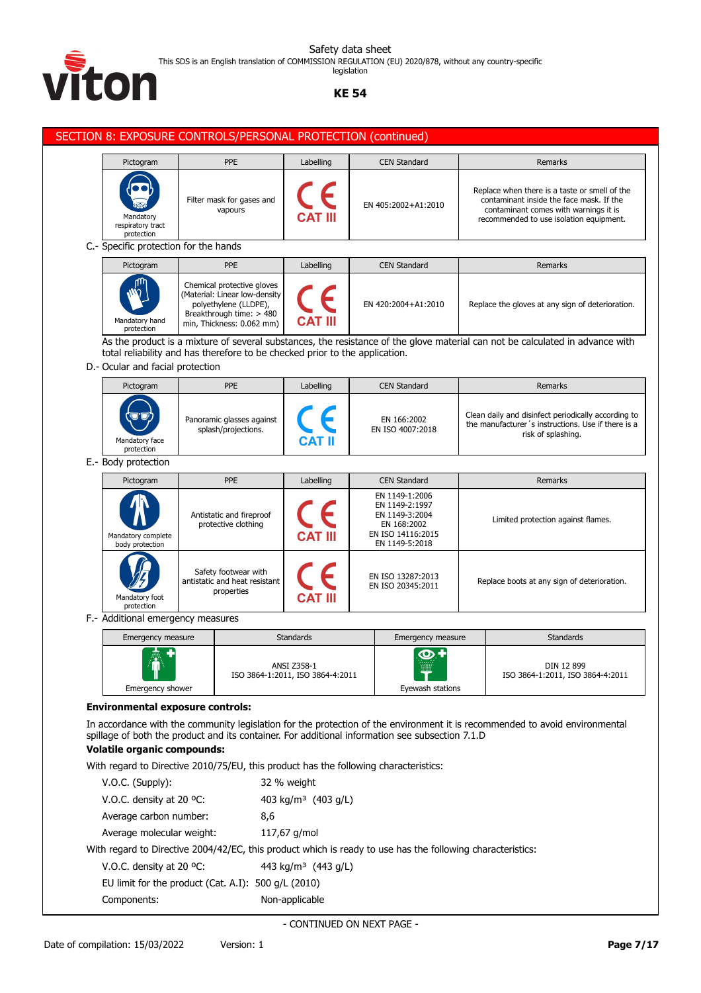

This SDS is an English translation of COMMISSION REGULATION (EU) 2020/878, without any country-specific legislation

# **KE 54**

| Remarks<br>Replace when there is a taste or smell of the<br>contaminant inside the face mask. If the<br>contaminant comes with warnings it is<br>recommended to use isolation equipment.<br>Remarks<br>Replace the gloves at any sign of deterioration.<br>As the product is a mixture of several substances, the resistance of the glove material can not be calculated in advance with<br>Remarks<br>Clean daily and disinfect periodically according to<br>the manufacturer's instructions. Use if there is a<br>risk of splashing.<br>Remarks<br>Limited protection against flames. |
|-----------------------------------------------------------------------------------------------------------------------------------------------------------------------------------------------------------------------------------------------------------------------------------------------------------------------------------------------------------------------------------------------------------------------------------------------------------------------------------------------------------------------------------------------------------------------------------------|
|                                                                                                                                                                                                                                                                                                                                                                                                                                                                                                                                                                                         |
|                                                                                                                                                                                                                                                                                                                                                                                                                                                                                                                                                                                         |
|                                                                                                                                                                                                                                                                                                                                                                                                                                                                                                                                                                                         |
|                                                                                                                                                                                                                                                                                                                                                                                                                                                                                                                                                                                         |
|                                                                                                                                                                                                                                                                                                                                                                                                                                                                                                                                                                                         |
|                                                                                                                                                                                                                                                                                                                                                                                                                                                                                                                                                                                         |
|                                                                                                                                                                                                                                                                                                                                                                                                                                                                                                                                                                                         |
|                                                                                                                                                                                                                                                                                                                                                                                                                                                                                                                                                                                         |
|                                                                                                                                                                                                                                                                                                                                                                                                                                                                                                                                                                                         |
|                                                                                                                                                                                                                                                                                                                                                                                                                                                                                                                                                                                         |
|                                                                                                                                                                                                                                                                                                                                                                                                                                                                                                                                                                                         |
| Replace boots at any sign of deterioration.                                                                                                                                                                                                                                                                                                                                                                                                                                                                                                                                             |
|                                                                                                                                                                                                                                                                                                                                                                                                                                                                                                                                                                                         |
| <b>Standards</b><br>Emergency measure                                                                                                                                                                                                                                                                                                                                                                                                                                                                                                                                                   |
| DIN 12 899<br>ISO 3864-1:2011, ISO 3864-4:2011<br>Eyewash stations                                                                                                                                                                                                                                                                                                                                                                                                                                                                                                                      |
| In accordance with the community legislation for the protection of the environment it is recommended to avoid environmental<br>spillage of both the product and its container. For additional information see subsection 7.1.D                                                                                                                                                                                                                                                                                                                                                          |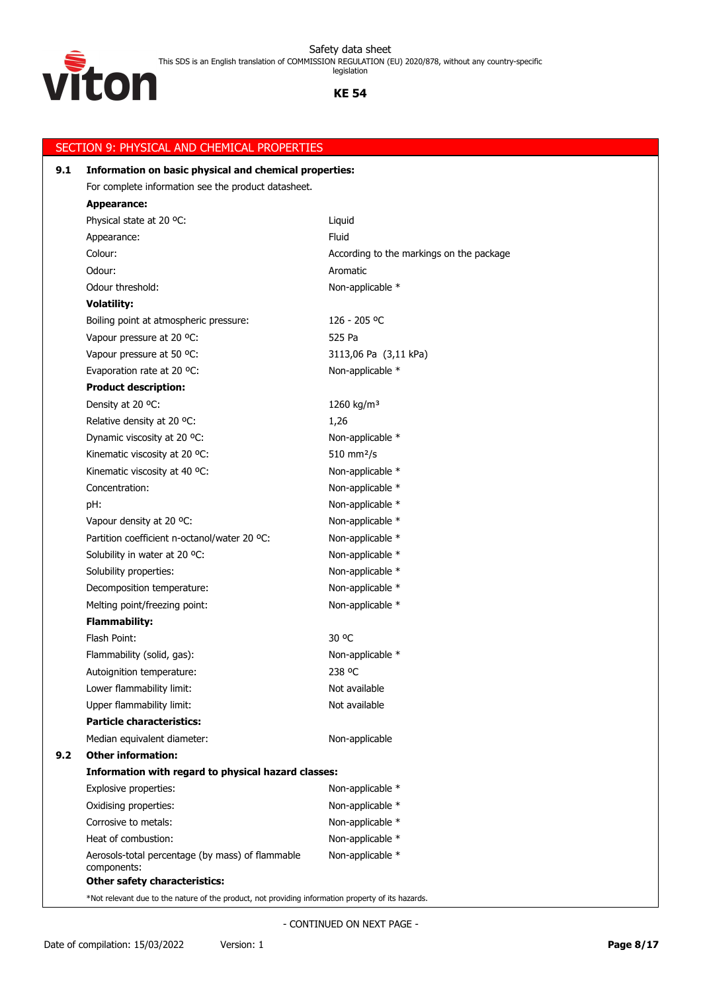

# **KE 54**

| 9.1 | Information on basic physical and chemical properties:                                           |                                          |  |  |  |
|-----|--------------------------------------------------------------------------------------------------|------------------------------------------|--|--|--|
|     | For complete information see the product datasheet.                                              |                                          |  |  |  |
|     | <b>Appearance:</b>                                                                               |                                          |  |  |  |
|     | Physical state at 20 °C:                                                                         | Liquid                                   |  |  |  |
|     | Appearance:                                                                                      | Fluid                                    |  |  |  |
|     | Colour:                                                                                          | According to the markings on the package |  |  |  |
|     | Odour:                                                                                           | Aromatic                                 |  |  |  |
|     | Odour threshold:                                                                                 | Non-applicable *                         |  |  |  |
|     | <b>Volatility:</b>                                                                               |                                          |  |  |  |
|     | Boiling point at atmospheric pressure:                                                           | 126 - 205 °C                             |  |  |  |
|     | Vapour pressure at 20 °C:                                                                        | 525 Pa                                   |  |  |  |
|     | Vapour pressure at 50 °C:                                                                        | 3113,06 Pa (3,11 kPa)                    |  |  |  |
|     | Evaporation rate at 20 °C:                                                                       | Non-applicable *                         |  |  |  |
|     | <b>Product description:</b>                                                                      |                                          |  |  |  |
|     | Density at 20 °C:                                                                                | 1260 kg/m <sup>3</sup>                   |  |  |  |
|     | Relative density at 20 °C:                                                                       | 1,26                                     |  |  |  |
|     | Dynamic viscosity at 20 °C:                                                                      | Non-applicable *                         |  |  |  |
|     | Kinematic viscosity at 20 °C:                                                                    | $510$ mm <sup>2</sup> /s                 |  |  |  |
|     | Kinematic viscosity at 40 °C:                                                                    | Non-applicable *                         |  |  |  |
|     | Concentration:                                                                                   | Non-applicable *                         |  |  |  |
|     | pH:                                                                                              | Non-applicable *                         |  |  |  |
|     | Vapour density at 20 °C:                                                                         | Non-applicable *                         |  |  |  |
|     | Partition coefficient n-octanol/water 20 °C:                                                     | Non-applicable *                         |  |  |  |
|     | Solubility in water at 20 °C:                                                                    | Non-applicable *                         |  |  |  |
|     | Solubility properties:                                                                           | Non-applicable *                         |  |  |  |
|     | Decomposition temperature:                                                                       | Non-applicable *                         |  |  |  |
|     | Melting point/freezing point:                                                                    | Non-applicable *                         |  |  |  |
|     | <b>Flammability:</b>                                                                             |                                          |  |  |  |
|     | Flash Point:                                                                                     | 30 °C                                    |  |  |  |
|     | Flammability (solid, gas):                                                                       | Non-applicable *                         |  |  |  |
|     | Autoignition temperature:                                                                        | 238 °C                                   |  |  |  |
|     | Lower flammability limit:                                                                        | Not available                            |  |  |  |
|     | Upper flammability limit:                                                                        | Not available                            |  |  |  |
|     | <b>Particle characteristics:</b>                                                                 |                                          |  |  |  |
|     | Median equivalent diameter:                                                                      | Non-applicable                           |  |  |  |
| 9.2 | <b>Other information:</b>                                                                        |                                          |  |  |  |
|     | Information with regard to physical hazard classes:                                              |                                          |  |  |  |
|     | Explosive properties:                                                                            | Non-applicable *                         |  |  |  |
|     | Oxidising properties:                                                                            | Non-applicable *                         |  |  |  |
|     | Corrosive to metals:                                                                             | Non-applicable *                         |  |  |  |
|     | Heat of combustion:                                                                              | Non-applicable *                         |  |  |  |
|     | Aerosols-total percentage (by mass) of flammable<br>components:<br>Other safety characteristics: | Non-applicable *                         |  |  |  |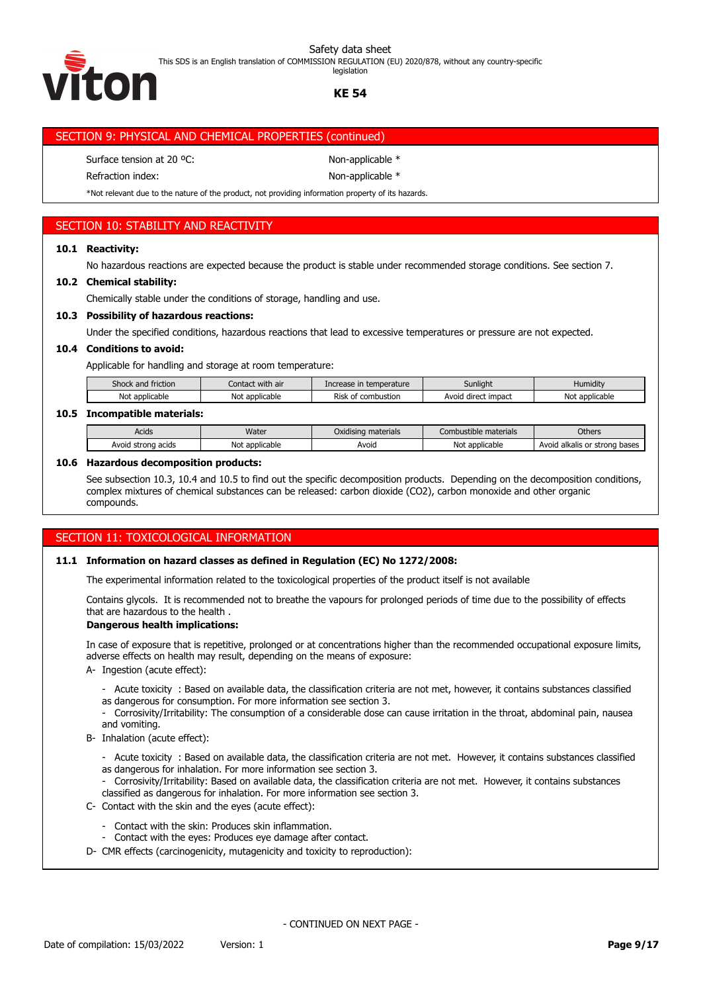This SDS is an English translation of COMMISSION REGULATION (EU) 2020/878, without any country-specific гоћ

**KE 54** legislation

# SECTION 9: PHYSICAL AND CHEMICAL PROPERTIES (continued)

Surface tension at 20 °C: Non-applicable \*

Refraction index: Non-applicable \*

\*Not relevant due to the nature of the product, not providing information property of its hazards.

# SECTION 10: STABILITY AND REACTIVITY

## **10.1 Reactivity:**

No hazardous reactions are expected because the product is stable under recommended storage conditions. See section 7.

# **10.2 Chemical stability:**

Chemically stable under the conditions of storage, handling and use.

# **10.3 Possibility of hazardous reactions:**

Under the specified conditions, hazardous reactions that lead to excessive temperatures or pressure are not expected.

### **10.4 Conditions to avoid:**

Applicable for handling and storage at room temperature:

| friction<br>Shock and          | Contact with air | Increase in temperature                | Sunlight            | Humidity       |
|--------------------------------|------------------|----------------------------------------|---------------------|----------------|
| Not applicable                 | Not applicable   | Risk<br>combustion <sup>.</sup><br>`0t | Avoid direct impact | Not applicable |
| ---<br>______<br><b>STATES</b> |                  |                                        |                     |                |

### **10.5 Incompatible materials:**

| Acids                 | Water               | Oxidising materials | ibustible materials | Others                                  |
|-----------------------|---------------------|---------------------|---------------------|-----------------------------------------|
| Avoid strong<br>acids | Not<br>: applicable | Avoia               | : applicable<br>Not | l alkalis or strong l<br>bases<br>Avoid |

#### **10.6 Hazardous decomposition products:**

See subsection 10.3, 10.4 and 10.5 to find out the specific decomposition products. Depending on the decomposition conditions, complex mixtures of chemical substances can be released: carbon dioxide (CO2), carbon monoxide and other organic compounds.

# SECTION 11: TOXICOLOGICAL INFORMATION

#### **11.1 Information on hazard classes as defined in Regulation (EC) No 1272/2008:**

The experimental information related to the toxicological properties of the product itself is not available

Contains glycols. It is recommended not to breathe the vapours for prolonged periods of time due to the possibility of effects that are hazardous to the health .

#### **Dangerous health implications:**

In case of exposure that is repetitive, prolonged or at concentrations higher than the recommended occupational exposure limits, adverse effects on health may result, depending on the means of exposure:

- A- Ingestion (acute effect):
	- Acute toxicity : Based on available data, the classification criteria are not met, however, it contains substances classified as dangerous for consumption. For more information see section 3.
	- Corrosivity/Irritability: The consumption of a considerable dose can cause irritation in the throat, abdominal pain, nausea and vomiting.
- B- Inhalation (acute effect):
	- Acute toxicity : Based on available data, the classification criteria are not met. However, it contains substances classified as dangerous for inhalation. For more information see section 3.
	- Corrosivity/Irritability: Based on available data, the classification criteria are not met. However, it contains substances classified as dangerous for inhalation. For more information see section 3.
- C- Contact with the skin and the eyes (acute effect):
	- Contact with the skin: Produces skin inflammation.
	- Contact with the eyes: Produces eye damage after contact.
- D- CMR effects (carcinogenicity, mutagenicity and toxicity to reproduction):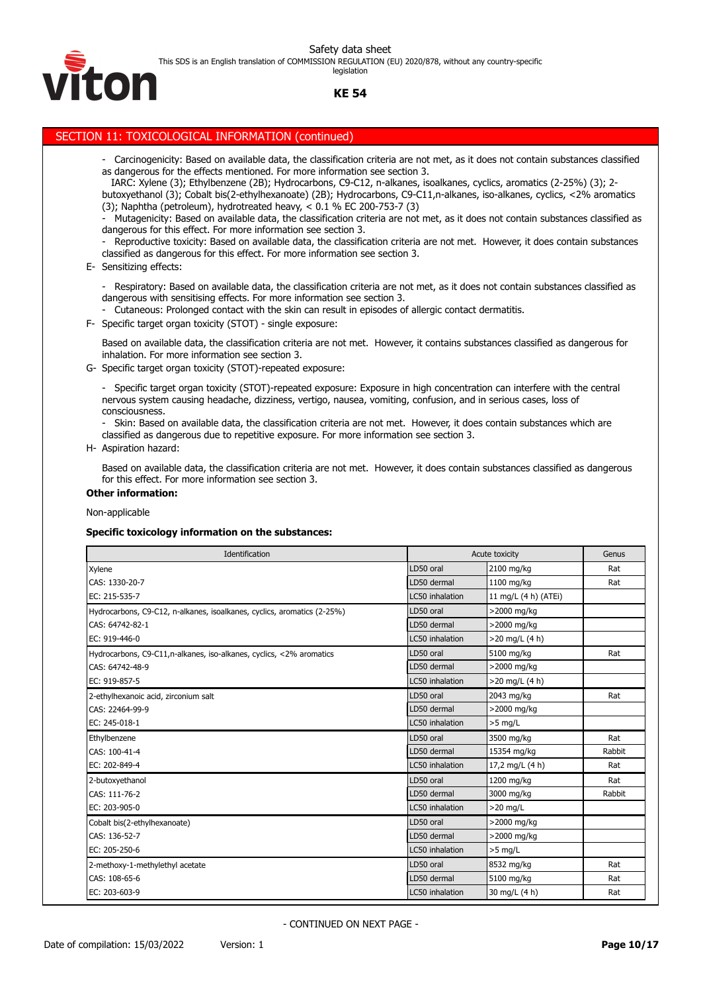

This SDS is an English translation of COMMISSION REGULATION (EU) 2020/878, without any country-specific legislation

# **KE 54**

# SECTION 11: TOXICOLOGICAL INFORMATION (continued)

- Carcinogenicity: Based on available data, the classification criteria are not met, as it does not contain substances classified as dangerous for the effects mentioned. For more information see section 3.
- IARC: Xylene (3); Ethylbenzene (2B); Hydrocarbons, C9-C12, n-alkanes, isoalkanes, cyclics, aromatics (2-25%) (3); 2 butoxyethanol (3); Cobalt bis(2-ethylhexanoate) (2B); Hydrocarbons, C9-C11,n-alkanes, iso-alkanes, cyclics, <2% aromatics (3); Naphtha (petroleum), hydrotreated heavy, < 0.1 % EC 200-753-7 (3)
- Mutagenicity: Based on available data, the classification criteria are not met, as it does not contain substances classified as dangerous for this effect. For more information see section 3.
- Reproductive toxicity: Based on available data, the classification criteria are not met. However, it does contain substances classified as dangerous for this effect. For more information see section 3.

#### E- Sensitizing effects:

- Respiratory: Based on available data, the classification criteria are not met, as it does not contain substances classified as dangerous with sensitising effects. For more information see section 3.

Cutaneous: Prolonged contact with the skin can result in episodes of allergic contact dermatitis.

F- Specific target organ toxicity (STOT) - single exposure:

Based on available data, the classification criteria are not met. However, it contains substances classified as dangerous for inhalation. For more information see section 3.

G- Specific target organ toxicity (STOT)-repeated exposure:

- Specific target organ toxicity (STOT)-repeated exposure: Exposure in high concentration can interfere with the central nervous system causing headache, dizziness, vertigo, nausea, vomiting, confusion, and in serious cases, loss of consciousness.

Skin: Based on available data, the classification criteria are not met. However, it does contain substances which are classified as dangerous due to repetitive exposure. For more information see section 3.

H- Aspiration hazard:

Based on available data, the classification criteria are not met. However, it does contain substances classified as dangerous for this effect. For more information see section 3.

#### **Other information:**

Non-applicable

#### **Specific toxicology information on the substances:**

| Identification                                                          |                 | Acute toxicity       | Genus  |
|-------------------------------------------------------------------------|-----------------|----------------------|--------|
| Xylene                                                                  | LD50 oral       | 2100 mg/kg           | Rat    |
| CAS: 1330-20-7                                                          | LD50 dermal     | 1100 mg/kg           | Rat    |
| EC: 215-535-7                                                           | LC50 inhalation | 11 mg/L (4 h) (ATEi) |        |
| Hydrocarbons, C9-C12, n-alkanes, isoalkanes, cyclics, aromatics (2-25%) | LD50 oral       | >2000 mg/kg          |        |
| CAS: 64742-82-1                                                         | LD50 dermal     | >2000 mg/kg          |        |
| EC: 919-446-0                                                           | LC50 inhalation | >20 mg/L (4 h)       |        |
| Hydrocarbons, C9-C11, n-alkanes, iso-alkanes, cyclics, <2% aromatics    | LD50 oral       | 5100 mg/kg           | Rat    |
| CAS: 64742-48-9                                                         | LD50 dermal     | >2000 mg/kg          |        |
| EC: 919-857-5                                                           | LC50 inhalation | $>20$ mg/L (4 h)     |        |
| 2-ethylhexanoic acid, zirconium salt                                    | LD50 oral       | 2043 mg/kg           | Rat    |
| CAS: 22464-99-9                                                         | LD50 dermal     | >2000 mg/kg          |        |
| EC: 245-018-1                                                           | LC50 inhalation | $>5$ mg/L            |        |
| Ethylbenzene                                                            | LD50 oral       | 3500 mg/kg           | Rat    |
| CAS: 100-41-4                                                           | LD50 dermal     | 15354 mg/kg          | Rabbit |
| EC: 202-849-4                                                           | LC50 inhalation | 17,2 mg/L (4 h)      | Rat    |
| 2-butoxyethanol                                                         | LD50 oral       | 1200 mg/kg           | Rat    |
| CAS: 111-76-2                                                           | LD50 dermal     | 3000 mg/kg           | Rabbit |
| EC: 203-905-0                                                           | LC50 inhalation | $>20$ mg/L           |        |
| Cobalt bis(2-ethylhexanoate)                                            | LD50 oral       | >2000 mg/kg          |        |
| CAS: 136-52-7                                                           | LD50 dermal     | >2000 mg/kg          |        |
| EC: 205-250-6                                                           | LC50 inhalation | $>5$ mg/L            |        |
| 2-methoxy-1-methylethyl acetate                                         | LD50 oral       | 8532 mg/kg           | Rat    |
| CAS: 108-65-6                                                           | LD50 dermal     | 5100 mg/kg           | Rat    |
| EC: 203-603-9                                                           | LC50 inhalation | 30 mg/L (4 h)        | Rat    |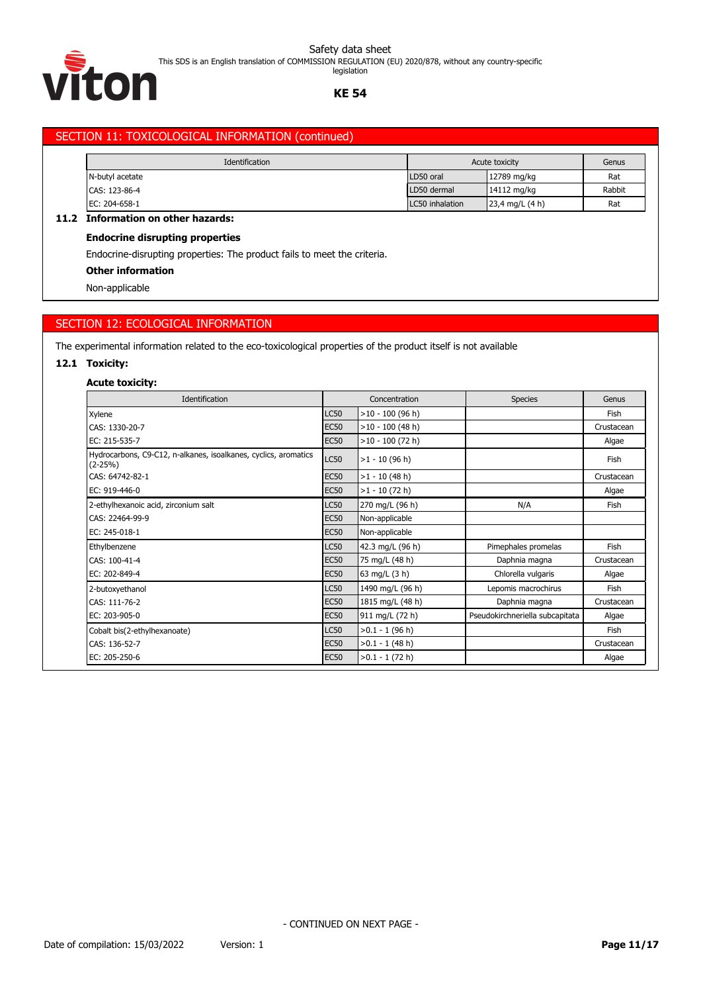This SDS is an English translation of COMMISSION REGULATION (EU) 2020/878, without any country-specific

legislation



### **KE 54**

# SECTION 11: TOXICOLOGICAL INFORMATION (continued)

| Identification  |                 | Acute toxicity            |        |
|-----------------|-----------------|---------------------------|--------|
| N-butyl acetate | LD50 oral       | 12789 mg/kg               | Rat    |
| CAS: 123-86-4   | LD50 dermal     | 14112 mg/kg               | Rabbit |
| EC: 204-658-1   | LC50 inhalation | $23,4 \text{ mg/L} (4 h)$ | Rat    |

# **11.2 Information on other hazards:**

# **Endocrine disrupting properties**

Endocrine-disrupting properties: The product fails to meet the criteria.

#### **Other information**

Non-applicable

# SECTION 12: ECOLOGICAL INFORMATION

The experimental information related to the eco-toxicological properties of the product itself is not available

#### **12.1 Toxicity:**

# **Acute toxicity:**

| Identification                                                                 |             | Concentration      | <b>Species</b>                  | Genus      |
|--------------------------------------------------------------------------------|-------------|--------------------|---------------------------------|------------|
| Xylene                                                                         | <b>LC50</b> | $>10 - 100$ (96 h) |                                 | Fish       |
| CAS: 1330-20-7                                                                 | <b>EC50</b> | $>10 - 100$ (48 h) |                                 | Crustacean |
| EC: 215-535-7                                                                  | <b>EC50</b> | $>10 - 100$ (72 h) |                                 | Algae      |
| Hydrocarbons, C9-C12, n-alkanes, isoalkanes, cyclics, aromatics<br>$(2 - 25%)$ | <b>LC50</b> | $>1 - 10$ (96 h)   |                                 | Fish       |
| CAS: 64742-82-1                                                                | <b>EC50</b> | $>1 - 10$ (48 h)   |                                 | Crustacean |
| EC: 919-446-0                                                                  | <b>EC50</b> | $>1 - 10$ (72 h)   |                                 | Algae      |
| 2-ethylhexanoic acid, zirconium salt                                           | <b>LC50</b> | 270 mg/L (96 h)    | N/A                             | Fish       |
| CAS: 22464-99-9                                                                | <b>EC50</b> | Non-applicable     |                                 |            |
| EC: 245-018-1                                                                  | <b>EC50</b> | Non-applicable     |                                 |            |
| Ethylbenzene                                                                   | <b>LC50</b> | 42.3 mg/L (96 h)   | Pimephales promelas             | Fish       |
| CAS: 100-41-4                                                                  | <b>EC50</b> | 75 mg/L (48 h)     | Daphnia magna                   | Crustacean |
| EC: 202-849-4                                                                  | <b>EC50</b> | 63 mg/L (3 h)      | Chlorella vulgaris              | Algae      |
| 2-butoxyethanol                                                                | <b>LC50</b> | 1490 mg/L (96 h)   | Lepomis macrochirus             | Fish       |
| CAS: 111-76-2                                                                  | <b>EC50</b> | 1815 mg/L (48 h)   | Daphnia magna                   | Crustacean |
| EC: 203-905-0                                                                  | <b>EC50</b> | 911 mg/L (72 h)    | Pseudokirchneriella subcapitata | Algae      |
| Cobalt bis(2-ethylhexanoate)                                                   | <b>LC50</b> | $>0.1 - 1$ (96 h)  |                                 | Fish       |
| CAS: 136-52-7                                                                  | <b>EC50</b> | $>0.1 - 1$ (48 h)  |                                 | Crustacean |
| EC: 205-250-6                                                                  | <b>EC50</b> | $>0.1 - 1(72 h)$   |                                 | Algae      |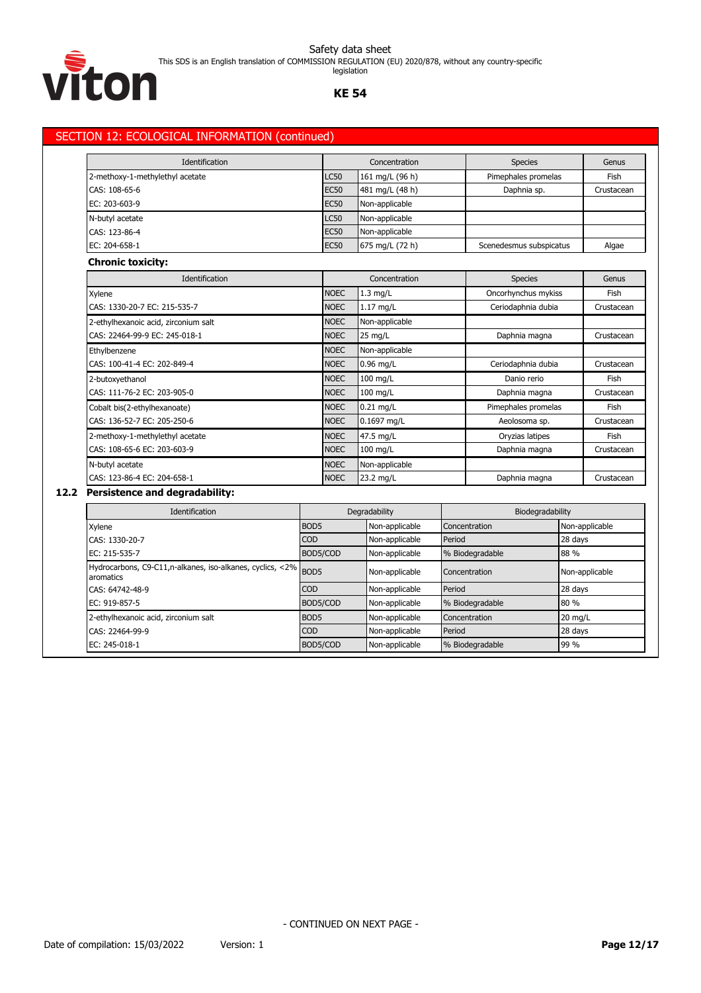

Safety data sheet This SDS is an English translation of COMMISSION REGULATION (EU) 2020/878, without any country-specific

legislation

#### **KE 54**

# SECTION 12: ECOLOGICAL INFORMATION (continued)

| Identification                  | Concentration |                 | <b>Species</b>          | Genus      |
|---------------------------------|---------------|-----------------|-------------------------|------------|
| 2-methoxy-1-methylethyl acetate | <b>LC50</b>   | 161 mg/L (96 h) | Pimephales promelas     | Fish       |
| CAS: 108-65-6                   | <b>EC50</b>   | 481 mg/L (48 h) | Daphnia sp.             | Crustacean |
| EC: 203-603-9                   | <b>EC50</b>   | Non-applicable  |                         |            |
| N-butyl acetate                 | <b>LC50</b>   | Non-applicable  |                         |            |
| CAS: 123-86-4                   | <b>EC50</b>   | Non-applicable  |                         |            |
| EC: 204-658-1                   | <b>EC50</b>   | 675 mg/L (72 h) | Scenedesmus subspicatus | Algae      |

# **Chronic toxicity:**

| <b>Identification</b>                |             | Concentration  | <b>Species</b>      | Genus      |  |
|--------------------------------------|-------------|----------------|---------------------|------------|--|
| Xylene                               | <b>NOEC</b> | $1.3$ mg/L     | Oncorhynchus mykiss | Fish       |  |
| CAS: 1330-20-7 EC: 215-535-7         | <b>NOEC</b> | $1.17$ mg/L    | Ceriodaphnia dubia  | Crustacean |  |
| 2-ethylhexanoic acid, zirconium salt | <b>NOEC</b> | Non-applicable |                     |            |  |
| CAS: 22464-99-9 EC: 245-018-1        | <b>NOEC</b> | 25 mg/L        | Daphnia magna       | Crustacean |  |
| Ethylbenzene                         | <b>NOEC</b> | Non-applicable |                     |            |  |
| CAS: 100-41-4 EC: 202-849-4          | <b>NOEC</b> | $0.96$ mg/L    | Ceriodaphnia dubia  | Crustacean |  |
| 2-butoxyethanol                      | <b>NOEC</b> | 100 mg/L       | Danio rerio         | Fish       |  |
| CAS: 111-76-2 EC: 203-905-0          | <b>NOEC</b> | $100$ mg/L     | Daphnia magna       | Crustacean |  |
| Cobalt bis(2-ethylhexanoate)         | <b>NOEC</b> | $0.21$ mg/L    | Pimephales promelas | Fish       |  |
| CAS: 136-52-7 EC: 205-250-6          | <b>NOEC</b> | 0.1697 mg/L    | Aeolosoma sp.       | Crustacean |  |
| 2-methoxy-1-methylethyl acetate      | <b>NOEC</b> | 47.5 mg/L      | Oryzias latipes     | Fish       |  |
| CAS: 108-65-6 EC: 203-603-9          | <b>NOEC</b> | 100 mg/L       | Daphnia magna       | Crustacean |  |
| N-butyl acetate                      | <b>NOEC</b> | Non-applicable |                     |            |  |
| CAS: 123-86-4 EC: 204-658-1          | <b>NOEC</b> | 23.2 mg/L      | Daphnia magna       | Crustacean |  |

# **12.2 Persistence and degradability:**

| Identification                                                              |                  | Degradability  | Biodegradability |                |  |
|-----------------------------------------------------------------------------|------------------|----------------|------------------|----------------|--|
| Xylene                                                                      | BOD <sub>5</sub> | Non-applicable | Concentration    | Non-applicable |  |
| CAS: 1330-20-7                                                              | <b>COD</b>       | Non-applicable | Period           | 28 days        |  |
| EC: 215-535-7                                                               | BOD5/COD         | Non-applicable | % Biodegradable  | 88 %           |  |
| Hydrocarbons, C9-C11,n-alkanes, iso-alkanes, cyclics, <2% BOD5<br>aromatics |                  | Non-applicable | Concentration    | Non-applicable |  |
| CAS: 64742-48-9                                                             | <b>COD</b>       | Non-applicable | Period           | 28 days        |  |
| EC: 919-857-5                                                               | BOD5/COD         | Non-applicable | % Biodegradable  | 80 %           |  |
| 2-ethylhexanoic acid, zirconium salt                                        | BOD <sub>5</sub> | Non-applicable | Concentration    | $20$ mg/L      |  |
| CAS: 22464-99-9                                                             | <b>COD</b>       | Non-applicable | Period           | 28 days        |  |
| EC: 245-018-1                                                               | BOD5/COD         | Non-applicable | % Biodegradable  | 99 %           |  |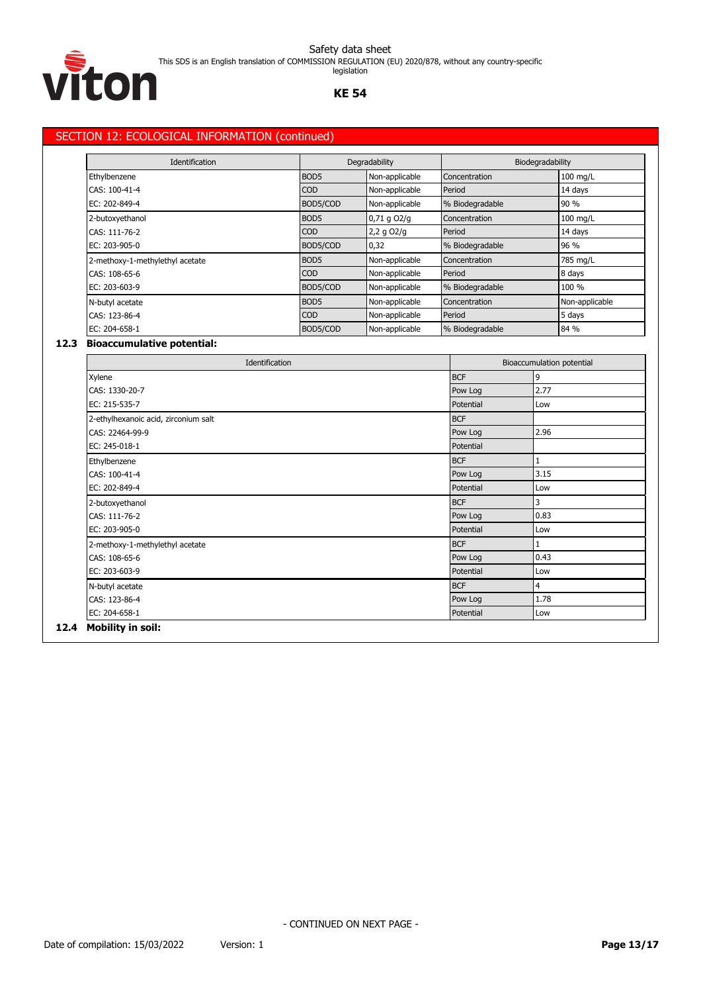This SDS is an English translation of COMMISSION REGULATION (EU) 2020/878, without any country-specific



legislation

#### **KE 54**

# SECTION 12: ECOLOGICAL INFORMATION (continued)

| Identification                  |                  | Degradability   |                 | Biodegradability |  |
|---------------------------------|------------------|-----------------|-----------------|------------------|--|
| Ethylbenzene                    | BOD <sub>5</sub> | Non-applicable  | Concentration   | $100$ mg/L       |  |
| CAS: 100-41-4                   | <b>COD</b>       | Non-applicable  | Period          | 14 days          |  |
| EC: 202-849-4                   | BOD5/COD         | Non-applicable  | % Biodegradable | 90 %             |  |
| 2-butoxyethanol                 | BOD <sub>5</sub> | $0,71$ q $O2/q$ | Concentration   | 100 mg/L         |  |
| CAS: 111-76-2                   | <b>COD</b>       | $2,2$ g $O2/g$  | Period          | 14 days          |  |
| EC: 203-905-0                   | BOD5/COD         | 0,32            | % Biodegradable | 96 %             |  |
| 2-methoxy-1-methylethyl acetate | BOD <sub>5</sub> | Non-applicable  | Concentration   | 785 mg/L         |  |
| CAS: 108-65-6                   | <b>COD</b>       | Non-applicable  | Period          | 8 days           |  |
| EC: 203-603-9                   | BOD5/COD         | Non-applicable  | % Biodegradable | 100 %            |  |
| N-butyl acetate                 | BOD <sub>5</sub> | Non-applicable  | Concentration   | Non-applicable   |  |
| CAS: 123-86-4                   | <b>COD</b>       | Non-applicable  | Period          | 5 days           |  |
| EC: 204-658-1                   | BOD5/COD         | Non-applicable  | % Biodegradable | 84 %             |  |

# **12.3 Bioaccumulative potential:**

| Identification                       |            | Bioaccumulation potential |  |
|--------------------------------------|------------|---------------------------|--|
| Xylene                               | <b>BCF</b> | 9                         |  |
| CAS: 1330-20-7                       | Pow Log    | 2.77                      |  |
| EC: 215-535-7                        | Potential  | Low                       |  |
| 2-ethylhexanoic acid, zirconium salt | <b>BCF</b> |                           |  |
| CAS: 22464-99-9                      | Pow Log    | 2.96                      |  |
| EC: 245-018-1                        | Potential  |                           |  |
| Ethylbenzene                         | <b>BCF</b> | 1                         |  |
| CAS: 100-41-4                        | Pow Log    | 3.15                      |  |
| EC: 202-849-4                        | Potential  | Low                       |  |
| 2-butoxyethanol                      | <b>BCF</b> | 3                         |  |
| CAS: 111-76-2                        | Pow Log    | 0.83                      |  |
| EC: 203-905-0                        | Potential  | Low                       |  |
| 2-methoxy-1-methylethyl acetate      | <b>BCF</b> |                           |  |
| CAS: 108-65-6                        | Pow Log    | 0.43                      |  |
| EC: 203-603-9                        | Potential  | Low                       |  |
| N-butyl acetate                      | <b>BCF</b> | 4                         |  |
| CAS: 123-86-4                        | Pow Log    | 1.78                      |  |
|                                      | Potential  | Low                       |  |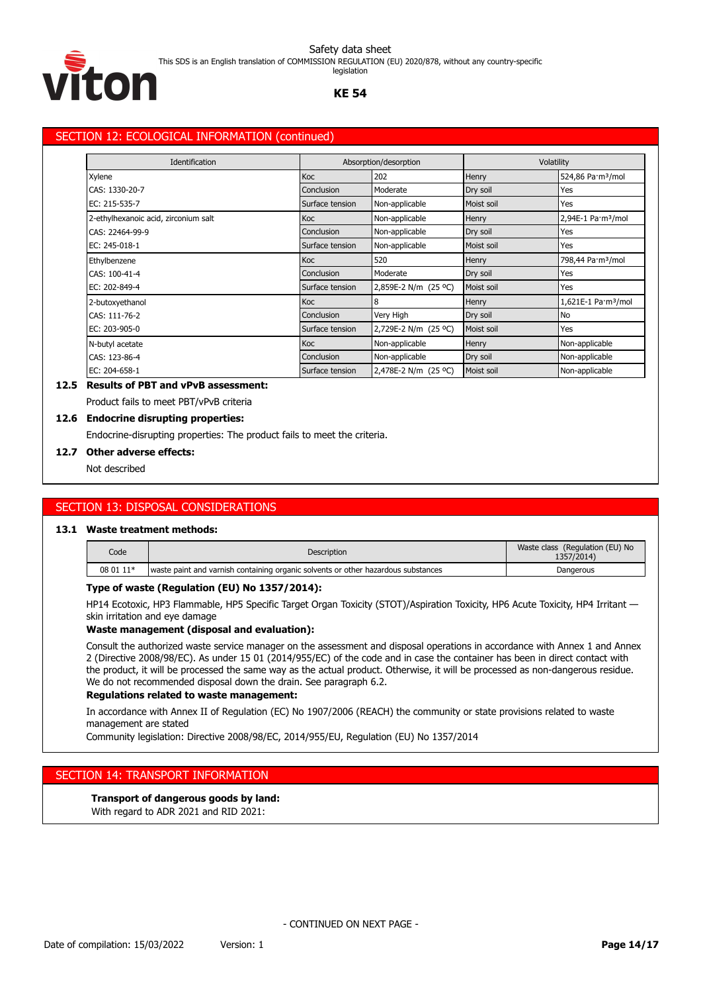This SDS is an English translation of COMMISSION REGULATION (EU) 2020/878, without any country-specific legislation



# **KE 54**

# SECTION 12: ECOLOGICAL INFORMATION (continued)

| Identification                       |                 | Absorption/desorption |            | Volatility                      |  |  |
|--------------------------------------|-----------------|-----------------------|------------|---------------------------------|--|--|
| Xylene                               | Koc             | 202                   | Henry      | 524,86 Pa·m <sup>3</sup> /mol   |  |  |
| CAS: 1330-20-7                       | Conclusion      | Moderate              | Dry soil   | Yes                             |  |  |
| EC: 215-535-7                        | Surface tension | Non-applicable        | Moist soil | Yes                             |  |  |
| 2-ethylhexanoic acid, zirconium salt | Koc             | Non-applicable        | Henry      | 2,94E-1 Pa·m <sup>3</sup> /mol  |  |  |
| CAS: 22464-99-9                      | Conclusion      | Non-applicable        | Dry soil   | Yes                             |  |  |
| EC: 245-018-1                        | Surface tension | Non-applicable        | Moist soil | Yes                             |  |  |
| Ethylbenzene                         | Koc             | 520                   | Henry      | 798,44 Pa·m <sup>3</sup> /mol   |  |  |
| CAS: 100-41-4                        | Conclusion      | Moderate              | Dry soil   | Yes                             |  |  |
| EC: 202-849-4                        | Surface tension | 2,859E-2 N/m (25 °C)  | Moist soil | Yes                             |  |  |
| 2-butoxyethanol                      | Koc             | 8                     | Henry      | 1,621E-1 Pa·m <sup>3</sup> /mol |  |  |
| CAS: 111-76-2                        | Conclusion      | Very High             | Dry soil   | <b>No</b>                       |  |  |
| EC: 203-905-0                        | Surface tension | 2,729E-2 N/m (25 °C)  | Moist soil | Yes                             |  |  |
| N-butyl acetate                      | Koc             | Non-applicable        | Henry      | Non-applicable                  |  |  |
| CAS: 123-86-4                        | Conclusion      | Non-applicable        | Dry soil   | Non-applicable                  |  |  |
| EC: 204-658-1                        | Surface tension | 2,478E-2 N/m (25 °C)  | Moist soil | Non-applicable                  |  |  |

# **12.5 Results of PBT and vPvB assessment:**

Product fails to meet PBT/vPvB criteria

#### **12.6 Endocrine disrupting properties:**

Endocrine-disrupting properties: The product fails to meet the criteria.

#### **12.7 Other adverse effects:**

Not described

# SECTION 13: DISPOSAL CONSIDERATIONS

#### **13.1 Waste treatment methods:**

| Code      | Description                                                                       | Waste class (Regulation (EU) No<br>1357/2014) |
|-----------|-----------------------------------------------------------------------------------|-----------------------------------------------|
| 08 01 11* | waste paint and varnish containing organic solvents or other hazardous substances | Dangerous                                     |

#### **Type of waste (Regulation (EU) No 1357/2014):**

HP14 Ecotoxic, HP3 Flammable, HP5 Specific Target Organ Toxicity (STOT)/Aspiration Toxicity, HP6 Acute Toxicity, HP4 Irritant skin irritation and eye damage

#### **Waste management (disposal and evaluation):**

Consult the authorized waste service manager on the assessment and disposal operations in accordance with Annex 1 and Annex 2 (Directive 2008/98/EC). As under 15 01 (2014/955/EC) of the code and in case the container has been in direct contact with the product, it will be processed the same way as the actual product. Otherwise, it will be processed as non-dangerous residue. We do not recommended disposal down the drain. See paragraph 6.2.

#### **Regulations related to waste management:**

In accordance with Annex II of Regulation (EC) No 1907/2006 (REACH) the community or state provisions related to waste management are stated

Community legislation: Directive 2008/98/EC, 2014/955/EU, Regulation (EU) No 1357/2014

# SECTION 14: TRANSPORT INFORMATION

#### **Transport of dangerous goods by land:**

With regard to ADR 2021 and RID 2021: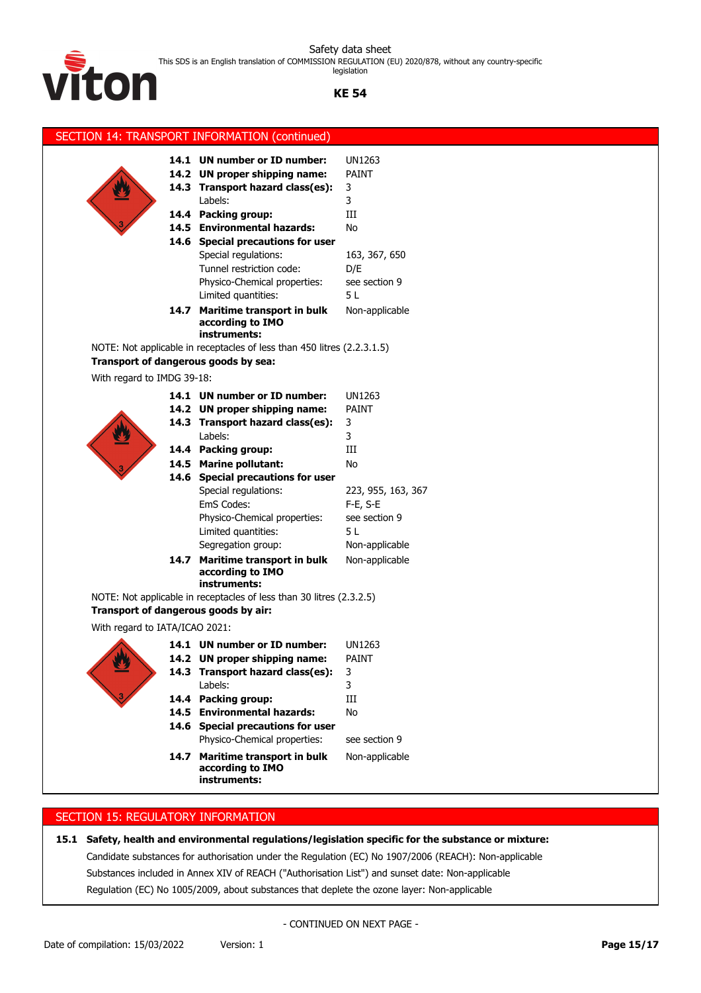legislation



# **KE 54**

|                                      | SECTION 14: TRANSPORT INFORMATION (continued)                                                                                                                                                                                                                                                                                                                             |                                                                                                               |
|--------------------------------------|---------------------------------------------------------------------------------------------------------------------------------------------------------------------------------------------------------------------------------------------------------------------------------------------------------------------------------------------------------------------------|---------------------------------------------------------------------------------------------------------------|
|                                      | 14.1 UN number or ID number:<br>14.2 UN proper shipping name:<br>14.3 Transport hazard class(es):<br>Labels:<br>14.4 Packing group:<br>14.5 Environmental hazards:<br>14.6 Special precautions for user<br>Special regulations:<br>Tunnel restriction code:<br>Physico-Chemical properties:<br>Limited quantities:<br>14.7 Maritime transport in bulk<br>according to IMO | <b>UN1263</b><br>PAINT<br>3<br>3<br>Ш<br>No<br>163, 367, 650<br>D/E<br>see section 9<br>5 L<br>Non-applicable |
|                                      | instruments:                                                                                                                                                                                                                                                                                                                                                              |                                                                                                               |
| Transport of dangerous goods by sea: | NOTE: Not applicable in receptacles of less than 450 litres (2.2.3.1.5)                                                                                                                                                                                                                                                                                                   |                                                                                                               |
| With regard to IMDG 39-18:           |                                                                                                                                                                                                                                                                                                                                                                           |                                                                                                               |
|                                      | 14.1 UN number or ID number:                                                                                                                                                                                                                                                                                                                                              | UN1263                                                                                                        |
|                                      | 14.2 UN proper shipping name:                                                                                                                                                                                                                                                                                                                                             | <b>PAINT</b>                                                                                                  |
|                                      | 14.3 Transport hazard class(es):                                                                                                                                                                                                                                                                                                                                          | 3                                                                                                             |
|                                      | Labels:                                                                                                                                                                                                                                                                                                                                                                   | 3                                                                                                             |
|                                      | 14.4 Packing group:                                                                                                                                                                                                                                                                                                                                                       | Ш                                                                                                             |
|                                      | 14.5 Marine pollutant:                                                                                                                                                                                                                                                                                                                                                    | No                                                                                                            |
|                                      | 14.6 Special precautions for user                                                                                                                                                                                                                                                                                                                                         |                                                                                                               |
|                                      | Special regulations:<br>EmS Codes:                                                                                                                                                                                                                                                                                                                                        | 223, 955, 163, 367                                                                                            |
|                                      | Physico-Chemical properties:                                                                                                                                                                                                                                                                                                                                              | F-E, S-E<br>see section 9                                                                                     |
|                                      | Limited quantities:                                                                                                                                                                                                                                                                                                                                                       | 5L                                                                                                            |
|                                      | Segregation group:                                                                                                                                                                                                                                                                                                                                                        | Non-applicable                                                                                                |
|                                      | 14.7 Maritime transport in bulk<br>according to IMO<br>instruments:                                                                                                                                                                                                                                                                                                       | Non-applicable                                                                                                |
|                                      | NOTE: Not applicable in receptacles of less than 30 litres (2.3.2.5)                                                                                                                                                                                                                                                                                                      |                                                                                                               |
| Transport of dangerous goods by air: |                                                                                                                                                                                                                                                                                                                                                                           |                                                                                                               |
| With regard to IATA/ICAO 2021:       |                                                                                                                                                                                                                                                                                                                                                                           |                                                                                                               |
|                                      | 14.1 UN number or ID number:                                                                                                                                                                                                                                                                                                                                              | UN1263                                                                                                        |
|                                      | 14.2 UN proper shipping name:                                                                                                                                                                                                                                                                                                                                             | PAINT                                                                                                         |
|                                      | 14.3 Transport hazard class(es):                                                                                                                                                                                                                                                                                                                                          | 3                                                                                                             |
|                                      | Labels:                                                                                                                                                                                                                                                                                                                                                                   | 3                                                                                                             |
|                                      | 14.4 Packing group:                                                                                                                                                                                                                                                                                                                                                       | $\rm III$                                                                                                     |
|                                      | 14.5 Environmental hazards:<br>14.6 Special precautions for user                                                                                                                                                                                                                                                                                                          | No                                                                                                            |
|                                      | Physico-Chemical properties:                                                                                                                                                                                                                                                                                                                                              | see section 9                                                                                                 |
|                                      | 14.7 Maritime transport in bulk                                                                                                                                                                                                                                                                                                                                           | Non-applicable                                                                                                |
|                                      | according to IMO<br>instruments:                                                                                                                                                                                                                                                                                                                                          |                                                                                                               |

# SECTION 15: REGULATORY INFORMATION

# **15.1 Safety, health and environmental regulations/legislation specific for the substance or mixture:**

Candidate substances for authorisation under the Regulation (EC) No 1907/2006 (REACH): Non-applicable Substances included in Annex XIV of REACH ("Authorisation List") and sunset date: Non-applicable Regulation (EC) No 1005/2009, about substances that deplete the ozone layer: Non-applicable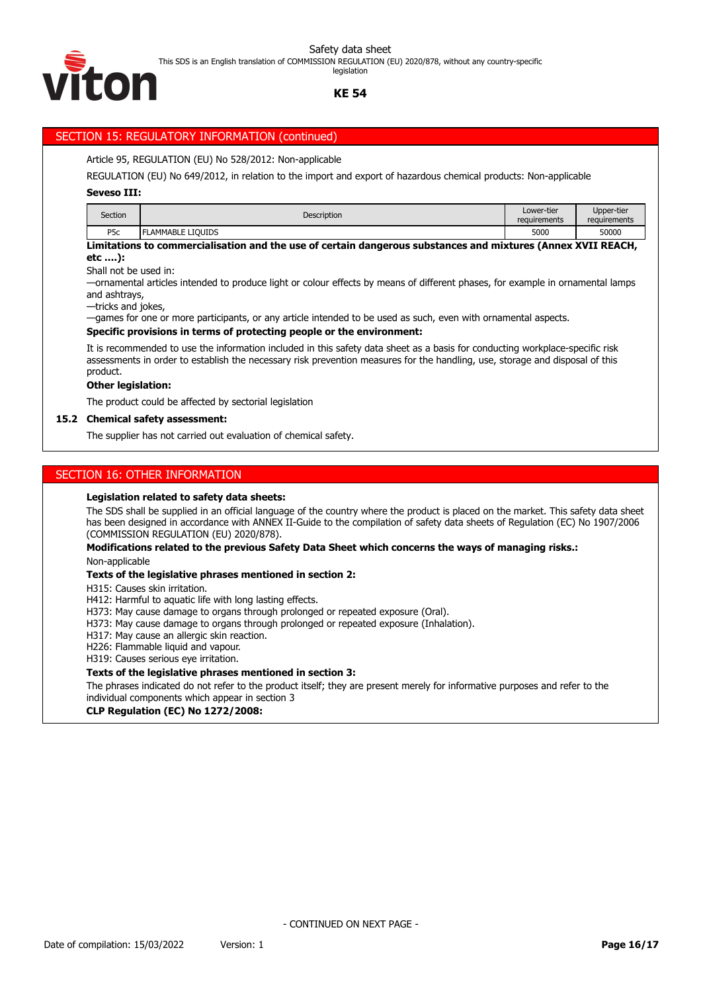This SDS is an English translation of COMMISSION REGULATION (EU) 2020/878, without any country-specific

гоћ

# **KE 54**

# SECTION 15: REGULATORY INFORMATION (continued)

## Article 95, REGULATION (EU) No 528/2012: Non-applicable

REGULATION (EU) No 649/2012, in relation to the import and export of hazardous chemical products: Non-applicable

#### **Seveso III:**

| Section          | <b>Description</b>           | Lower-tier<br>requirements | Upper-tier<br>requirements |
|------------------|------------------------------|----------------------------|----------------------------|
| P <sub>5</sub> c | <b>LIOUIDS</b><br>LAMMABLE I | 5000                       | 50000                      |

**Limitations to commercialisation and the use of certain dangerous substances and mixtures (Annex XVII REACH, etc ….):**

Shall not be used in:

—ornamental articles intended to produce light or colour effects by means of different phases, for example in ornamental lamps and ashtrays,

—tricks and jokes,

—games for one or more participants, or any article intended to be used as such, even with ornamental aspects.

#### **Specific provisions in terms of protecting people or the environment:**

It is recommended to use the information included in this safety data sheet as a basis for conducting workplace-specific risk assessments in order to establish the necessary risk prevention measures for the handling, use, storage and disposal of this product.

#### **Other legislation:**

The product could be affected by sectorial legislation

#### **15.2 Chemical safety assessment:**

The supplier has not carried out evaluation of chemical safety.

# SECTION 16: OTHER INFORMATION

#### **Legislation related to safety data sheets:**

The SDS shall be supplied in an official language of the country where the product is placed on the market. This safety data sheet has been designed in accordance with ANNEX II-Guide to the compilation of safety data sheets of Regulation (EC) No 1907/2006 (COMMISSION REGULATION (EU) 2020/878).

#### **Modifications related to the previous Safety Data Sheet which concerns the ways of managing risks.:** Non-applicable

#### **Texts of the legislative phrases mentioned in section 2:**

H315: Causes skin irritation.

H412: Harmful to aquatic life with long lasting effects.

- H373: May cause damage to organs through prolonged or repeated exposure (Oral).
- H373: May cause damage to organs through prolonged or repeated exposure (Inhalation).

H317: May cause an allergic skin reaction.

H226: Flammable liquid and vapour.

H319: Causes serious eye irritation.

#### **Texts of the legislative phrases mentioned in section 3:**

The phrases indicated do not refer to the product itself; they are present merely for informative purposes and refer to the individual components which appear in section 3

**CLP Regulation (EC) No 1272/2008:**